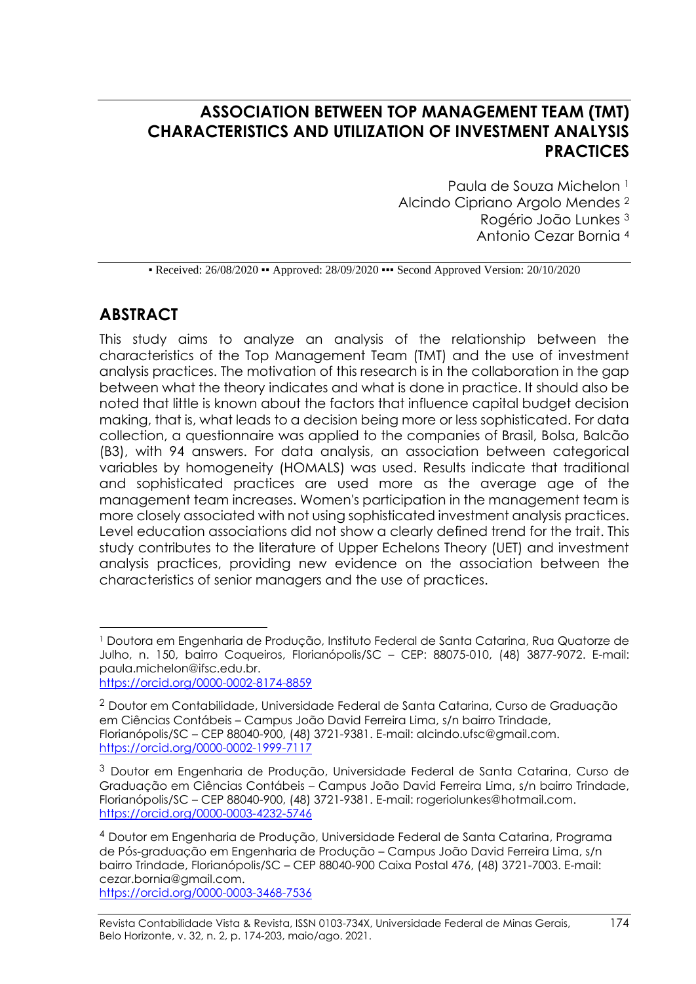# **ASSOCIATION BETWEEN TOP MANAGEMENT TEAM (TMT) CHARACTERISTICS AND UTILIZATION OF INVESTMENT ANALYSIS PRACTICES**

Paula de Souza Michelon 1 Alcindo Cipriano Argolo Mendes <sup>2</sup> Rogério João Lunkes <sup>3</sup> Antonio Cezar Bornia <sup>4</sup>

• Received: 26/08/2020 • Approved: 28/09/2020 • • Second Approved Version: 20/10/2020

# **ABSTRACT**

This study aims to analyze an analysis of the relationship between the characteristics of the Top Management Team (TMT) and the use of investment analysis practices. The motivation of this research is in the collaboration in the gap between what the theory indicates and what is done in practice. It should also be noted that little is known about the factors that influence capital budget decision making, that is, what leads to a decision being more or less sophisticated. For data collection, a questionnaire was applied to the companies of Brasil, Bolsa, Balcão (B3), with 94 answers. For data analysis, an association between categorical variables by homogeneity (HOMALS) was used. Results indicate that traditional and sophisticated practices are used more as the average age of the management team increases. Women's participation in the management team is more closely associated with not using sophisticated investment analysis practices. Level education associations did not show a clearly defined trend for the trait. This study contributes to the literature of Upper Echelons Theory (UET) and investment analysis practices, providing new evidence on the association between the characteristics of senior managers and the use of practices.

<https://orcid.org/0000-0003-3468-7536>

<sup>1</sup> Doutora em Engenharia de Produção, Instituto Federal de Santa Catarina, Rua Quatorze de Julho, n. 150, bairro Coqueiros, Florianópolis/SC – CEP: 88075-010, (48) 3877-9072. E-mail: [paula.michelon@ifsc.edu.br.](mailto:paula.michelon@ifsc.edu.br) <https://orcid.org/0000-0002-8174-8859>

<sup>2</sup> Doutor em Contabilidade, Universidade Federal de Santa Catarina, Curso de Graduação em Ciências Contábeis – Campus João David Ferreira Lima, s/n bairro Trindade, Florianópolis/SC – CEP 88040-900, (48) 3721-9381. E-mail: [alcindo.ufsc@gmail.com.](mailto:alcindo.ufsc@gmail.com) <https://orcid.org/0000-0002-1999-7117>

 $3$  Doutor em Engenharia de Produção, Universidade Federal de Santa Catarina, Curso de Graduação em Ciências Contábeis – Campus João David Ferreira Lima, s/n bairro Trindade, Florianópolis/SC – CEP 88040-900, (48) 3721-9381. E-mail: [rogeriolunkes@hotmail.com.](mailto:rogeriolunkes@hotmail.com) <https://orcid.org/0000-0003-4232-5746>

<sup>4</sup> Doutor em Engenharia de Produção, Universidade Federal de Santa Catarina, Programa de Pós-graduação em Engenharia de Produção – Campus João David Ferreira Lima, s/n bairro Trindade, Florianópolis/SC – CEP 88040-900 Caixa Postal 476, (48) 3721-7003. E-mail: [cezar.bornia@gmail.com.](mailto:cezar.bornia@gmail.com)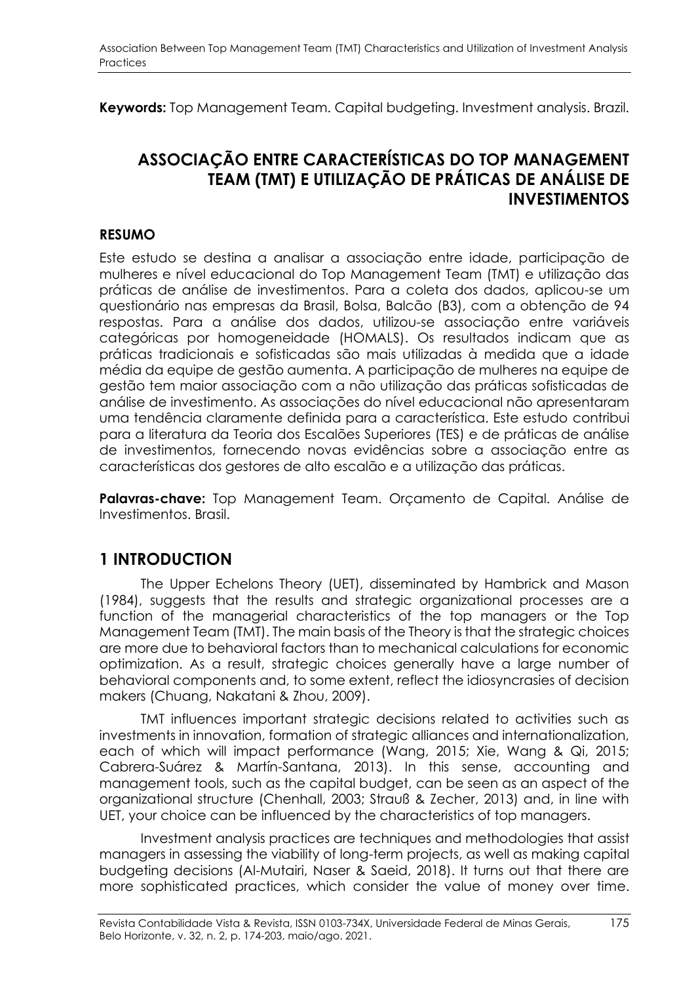**Keywords:** Top Management Team. Capital budgeting. Investment analysis. Brazil.

# **ASSOCIAÇÃO ENTRE CARACTERÍSTICAS DO TOP MANAGEMENT TEAM (TMT) E UTILIZAÇÃO DE PRÁTICAS DE ANÁLISE DE INVESTIMENTOS**

#### **RESUMO**

Este estudo se destina a analisar a associação entre idade, participação de mulheres e nível educacional do Top Management Team (TMT) e utilização das práticas de análise de investimentos. Para a coleta dos dados, aplicou-se um questionário nas empresas da Brasil, Bolsa, Balcão (B3), com a obtenção de 94 respostas. Para a análise dos dados, utilizou-se associação entre variáveis categóricas por homogeneidade (HOMALS). Os resultados indicam que as práticas tradicionais e sofisticadas são mais utilizadas à medida que a idade média da equipe de gestão aumenta. A participação de mulheres na equipe de gestão tem maior associação com a não utilização das práticas sofisticadas de análise de investimento. As associações do nível educacional não apresentaram uma tendência claramente definida para a característica. Este estudo contribui para a literatura da Teoria dos Escalões Superiores (TES) e de práticas de análise de investimentos, fornecendo novas evidências sobre a associação entre as características dos gestores de alto escalão e a utilização das práticas.

**Palavras-chave:** Top Management Team. Orçamento de Capital. Análise de Investimentos. Brasil.

### **1 INTRODUCTION**

The Upper Echelons Theory (UET), disseminated by Hambrick and Mason (1984), suggests that the results and strategic organizational processes are a function of the managerial characteristics of the top managers or the Top Management Team (TMT). The main basis of the Theory is that the strategic choices are more due to behavioral factors than to mechanical calculations for economic optimization. As a result, strategic choices generally have a large number of behavioral components and, to some extent, reflect the idiosyncrasies of decision makers (Chuang, Nakatani & Zhou, 2009).

TMT influences important strategic decisions related to activities such as investments in innovation, formation of strategic alliances and internationalization, each of which will impact performance (Wang, 2015; Xie, Wang & Qi, 2015; Cabrera-Suárez & Martín-Santana, 2013). In this sense, accounting and management tools, such as the capital budget, can be seen as an aspect of the organizational structure (Chenhall, 2003; Strauß & Zecher, 2013) and, in line with UET, your choice can be influenced by the characteristics of top managers.

Investment analysis practices are techniques and methodologies that assist managers in assessing the viability of long-term projects, as well as making capital budgeting decisions (Al-Mutairi, Naser & Saeid, 2018). It turns out that there are more sophisticated practices, which consider the value of money over time.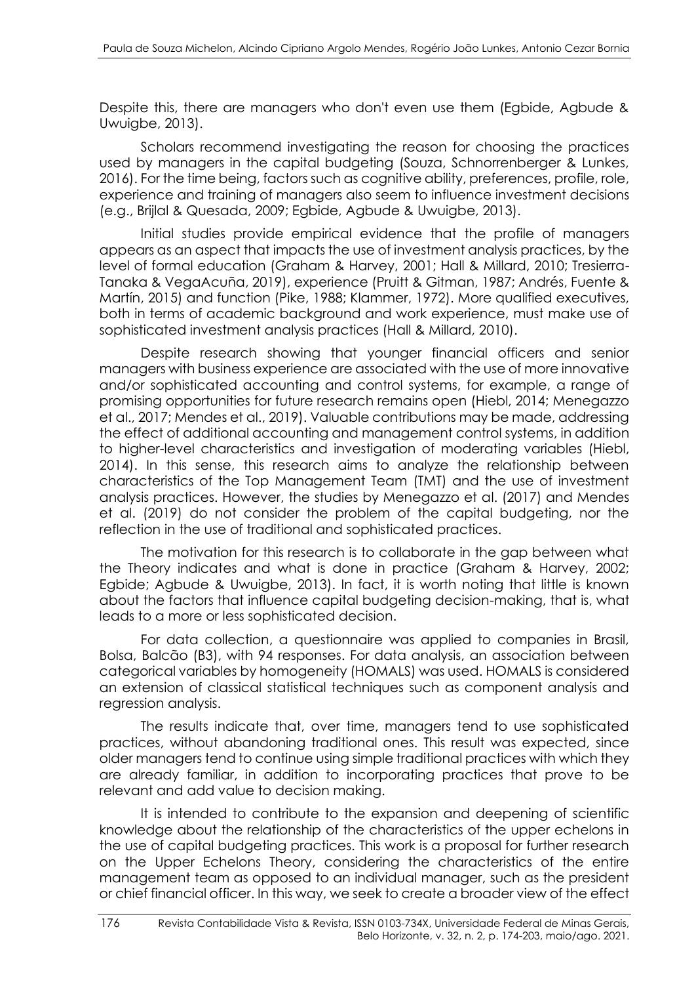Despite this, there are managers who don't even use them (Egbide, Agbude & Uwuigbe, 2013).

Scholars recommend investigating the reason for choosing the practices used by managers in the capital budgeting (Souza, Schnorrenberger & Lunkes, 2016). For the time being, factors such as cognitive ability, preferences, profile, role, experience and training of managers also seem to influence investment decisions (e.g., Brijlal & Quesada, 2009; Egbide, Agbude & Uwuigbe, 2013).

Initial studies provide empirical evidence that the profile of managers appears as an aspect that impacts the use of investment analysis practices, by the level of formal education (Graham & Harvey, 2001; Hall & Millard, 2010; Tresierra-Tanaka & VegaAcuña, 2019), experience (Pruitt & Gitman, 1987; Andrés, Fuente & Martín, 2015) and function (Pike, 1988; Klammer, 1972). More qualified executives, both in terms of academic background and work experience, must make use of sophisticated investment analysis practices (Hall & Millard, 2010).

Despite research showing that younger financial officers and senior managers with business experience are associated with the use of more innovative and/or sophisticated accounting and control systems, for example, a range of promising opportunities for future research remains open (Hiebl, 2014; Menegazzo et al., 2017; Mendes et al., 2019). Valuable contributions may be made, addressing the effect of additional accounting and management control systems, in addition to higher-level characteristics and investigation of moderating variables (Hiebl, 2014). In this sense, this research aims to analyze the relationship between characteristics of the Top Management Team (TMT) and the use of investment analysis practices. However, the studies by Menegazzo et al. (2017) and Mendes et al. (2019) do not consider the problem of the capital budgeting, nor the reflection in the use of traditional and sophisticated practices.

The motivation for this research is to collaborate in the gap between what the Theory indicates and what is done in practice (Graham & Harvey, 2002; Egbide; Agbude & Uwuigbe, 2013). In fact, it is worth noting that little is known about the factors that influence capital budgeting decision-making, that is, what leads to a more or less sophisticated decision.

For data collection, a questionnaire was applied to companies in Brasil, Bolsa, Balcão (B3), with 94 responses. For data analysis, an association between categorical variables by homogeneity (HOMALS) was used. HOMALS is considered an extension of classical statistical techniques such as component analysis and regression analysis.

The results indicate that, over time, managers tend to use sophisticated practices, without abandoning traditional ones. This result was expected, since older managers tend to continue using simple traditional practices with which they are already familiar, in addition to incorporating practices that prove to be relevant and add value to decision making.

It is intended to contribute to the expansion and deepening of scientific knowledge about the relationship of the characteristics of the upper echelons in the use of capital budgeting practices. This work is a proposal for further research on the Upper Echelons Theory, considering the characteristics of the entire management team as opposed to an individual manager, such as the president or chief financial officer. In this way, we seek to create a broader view of the effect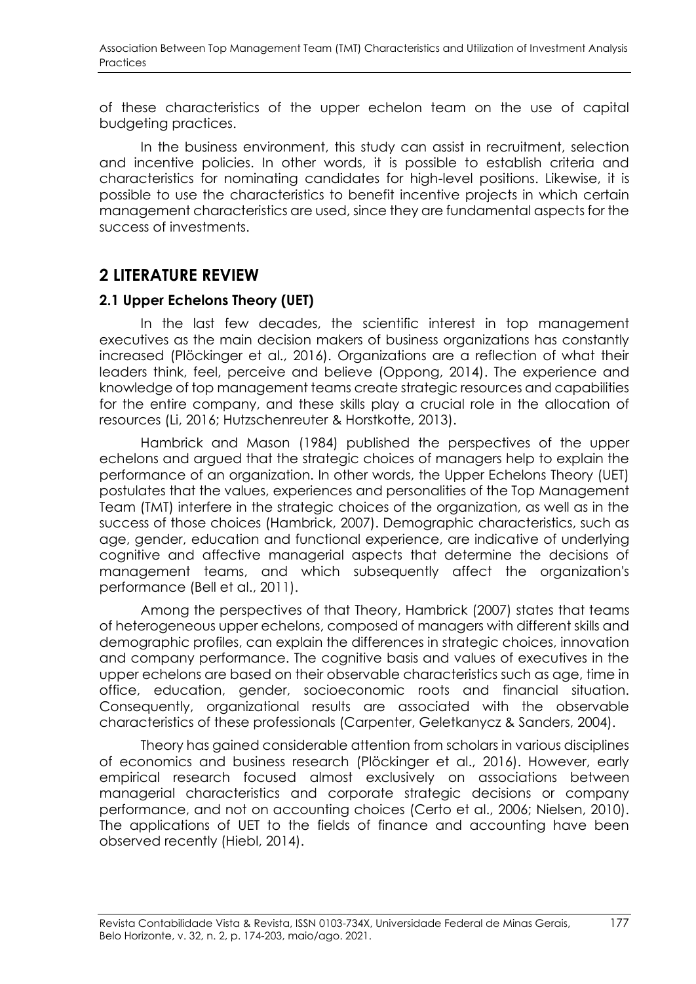of these characteristics of the upper echelon team on the use of capital budgeting practices.

In the business environment, this study can assist in recruitment, selection and incentive policies. In other words, it is possible to establish criteria and characteristics for nominating candidates for high-level positions. Likewise, it is possible to use the characteristics to benefit incentive projects in which certain management characteristics are used, since they are fundamental aspects for the success of investments.

# **2 LITERATURE REVIEW**

#### **2.1 Upper Echelons Theory (UET)**

In the last few decades, the scientific interest in top management executives as the main decision makers of business organizations has constantly increased (Plöckinger et al., 2016). Organizations are a reflection of what their leaders think, feel, perceive and believe (Oppong, 2014). The experience and knowledge of top management teams create strategic resources and capabilities for the entire company, and these skills play a crucial role in the allocation of resources (Li, 2016; Hutzschenreuter & Horstkotte, 2013).

Hambrick and Mason (1984) published the perspectives of the upper echelons and argued that the strategic choices of managers help to explain the performance of an organization. In other words, the Upper Echelons Theory (UET) postulates that the values, experiences and personalities of the Top Management Team (TMT) interfere in the strategic choices of the organization, as well as in the success of those choices (Hambrick, 2007). Demographic characteristics, such as age, gender, education and functional experience, are indicative of underlying cognitive and affective managerial aspects that determine the decisions of management teams, and which subsequently affect the organization's performance (Bell et al., 2011).

Among the perspectives of that Theory, Hambrick (2007) states that teams of heterogeneous upper echelons, composed of managers with different skills and demographic profiles, can explain the differences in strategic choices, innovation and company performance. The cognitive basis and values of executives in the upper echelons are based on their observable characteristics such as age, time in office, education, gender, socioeconomic roots and financial situation. Consequently, organizational results are associated with the observable characteristics of these professionals (Carpenter, Geletkanycz & Sanders, 2004).

Theory has gained considerable attention from scholars in various disciplines of economics and business research (Plöckinger et al., 2016). However, early empirical research focused almost exclusively on associations between managerial characteristics and corporate strategic decisions or company performance, and not on accounting choices (Certo et al., 2006; Nielsen, 2010). The applications of UET to the fields of finance and accounting have been observed recently (Hiebl, 2014).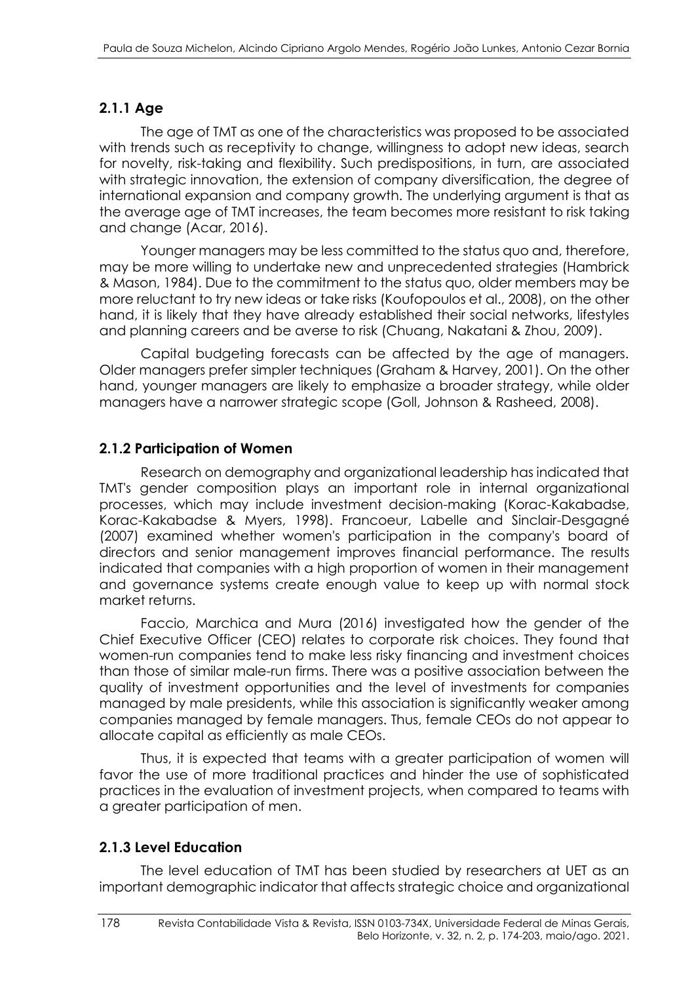### **2.1.1 Age**

The age of TMT as one of the characteristics was proposed to be associated with trends such as receptivity to change, willingness to adopt new ideas, search for novelty, risk-taking and flexibility. Such predispositions, in turn, are associated with strategic innovation, the extension of company diversification, the degree of international expansion and company growth. The underlying argument is that as the average age of TMT increases, the team becomes more resistant to risk taking and change (Acar, 2016).

Younger managers may be less committed to the status quo and, therefore, may be more willing to undertake new and unprecedented strategies (Hambrick & Mason, 1984). Due to the commitment to the status quo, older members may be more reluctant to try new ideas or take risks (Koufopoulos et al., 2008), on the other hand, it is likely that they have already established their social networks, lifestyles and planning careers and be averse to risk (Chuang, Nakatani & Zhou, 2009).

Capital budgeting forecasts can be affected by the age of managers. Older managers prefer simpler techniques (Graham & Harvey, 2001). On the other hand, younger managers are likely to emphasize a broader strategy, while older managers have a narrower strategic scope (Goll, Johnson & Rasheed, 2008).

### **2.1.2 Participation of Women**

Research on demography and organizational leadership has indicated that TMT's gender composition plays an important role in internal organizational processes, which may include investment decision-making (Korac-Kakabadse, Korac-Kakabadse & Myers, 1998). Francoeur, Labelle and Sinclair-Desgagné (2007) examined whether women's participation in the company's board of directors and senior management improves financial performance. The results indicated that companies with a high proportion of women in their management and governance systems create enough value to keep up with normal stock market returns.

Faccio, Marchica and Mura (2016) investigated how the gender of the Chief Executive Officer (CEO) relates to corporate risk choices. They found that women-run companies tend to make less risky financing and investment choices than those of similar male-run firms. There was a positive association between the quality of investment opportunities and the level of investments for companies managed by male presidents, while this association is significantly weaker among companies managed by female managers. Thus, female CEOs do not appear to allocate capital as efficiently as male CEOs.

Thus, it is expected that teams with a greater participation of women will favor the use of more traditional practices and hinder the use of sophisticated practices in the evaluation of investment projects, when compared to teams with a greater participation of men.

### **2.1.3 Level Education**

The level education of TMT has been studied by researchers at UET as an important demographic indicator that affects strategic choice and organizational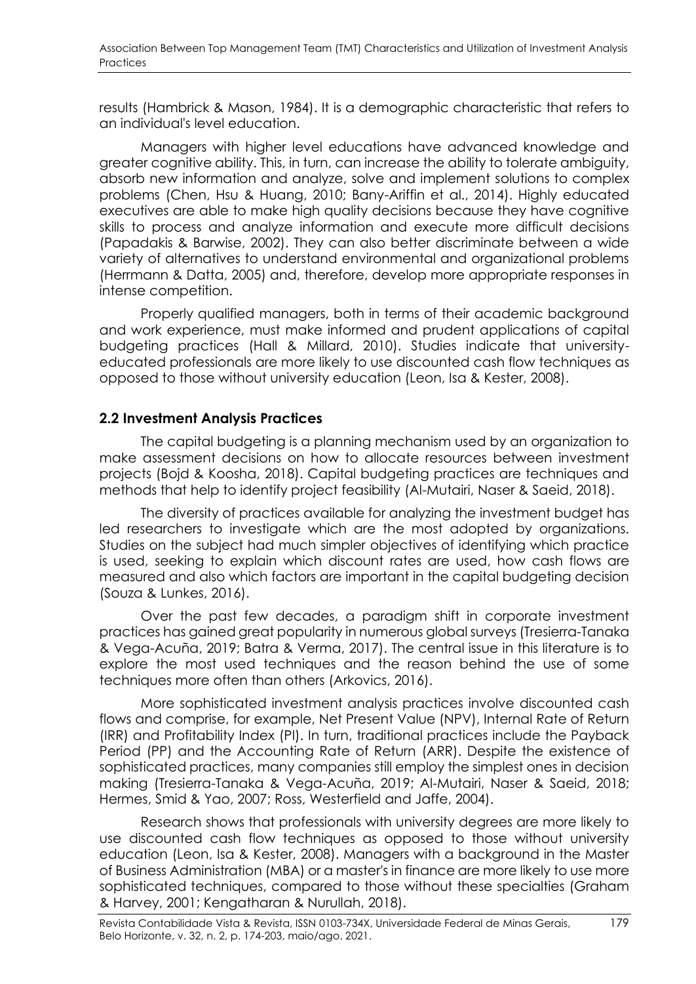results (Hambrick & Mason, 1984). It is a demographic characteristic that refers to an individual's level education.

Managers with higher level educations have advanced knowledge and greater cognitive ability. This, in turn, can increase the ability to tolerate ambiguity, absorb new information and analyze, solve and implement solutions to complex problems (Chen, Hsu & Huang, 2010; Bany-Ariffin et al., 2014). Highly educated executives are able to make high quality decisions because they have cognitive skills to process and analyze information and execute more difficult decisions (Papadakis & Barwise, 2002). They can also better discriminate between a wide variety of alternatives to understand environmental and organizational problems (Herrmann & Datta, 2005) and, therefore, develop more appropriate responses in intense competition.

Properly qualified managers, both in terms of their academic background and work experience, must make informed and prudent applications of capital budgeting practices (Hall & Millard, 2010). Studies indicate that universityeducated professionals are more likely to use discounted cash flow techniques as opposed to those without university education (Leon, Isa & Kester, 2008).

#### **2.2 Investment Analysis Practices**

The capital budgeting is a planning mechanism used by an organization to make assessment decisions on how to allocate resources between investment projects (Bojd & Koosha, 2018). Capital budgeting practices are techniques and methods that help to identify project feasibility (Al-Mutairi, Naser & Saeid, 2018).

The diversity of practices available for analyzing the investment budget has led researchers to investigate which are the most adopted by organizations. Studies on the subject had much simpler objectives of identifying which practice is used, seeking to explain which discount rates are used, how cash flows are measured and also which factors are important in the capital budgeting decision (Souza & Lunkes, 2016).

Over the past few decades, a paradigm shift in corporate investment practices has gained great popularity in numerous global surveys (Tresierra-Tanaka & Vega-Acuña, 2019; Batra & Verma, 2017). The central issue in this literature is to explore the most used techniques and the reason behind the use of some techniques more often than others (Arkovics, 2016).

More sophisticated investment analysis practices involve discounted cash flows and comprise, for example, Net Present Value (NPV), Internal Rate of Return (IRR) and Profitability Index (PI). In turn, traditional practices include the Payback Period (PP) and the Accounting Rate of Return (ARR). Despite the existence of sophisticated practices, many companies still employ the simplest ones in decision making (Tresierra-Tanaka & Vega-Acuña, 2019; Al-Mutairi, Naser & Saeid, 2018; Hermes, Smid & Yao, 2007; Ross, Westerfield and Jaffe, 2004).

Research shows that professionals with university degrees are more likely to use discounted cash flow techniques as opposed to those without university education (Leon, Isa & Kester, 2008). Managers with a background in the Master of Business Administration (MBA) or a master's in finance are more likely to use more sophisticated techniques, compared to those without these specialties (Graham & Harvey, 2001; Kengatharan & Nurullah, 2018).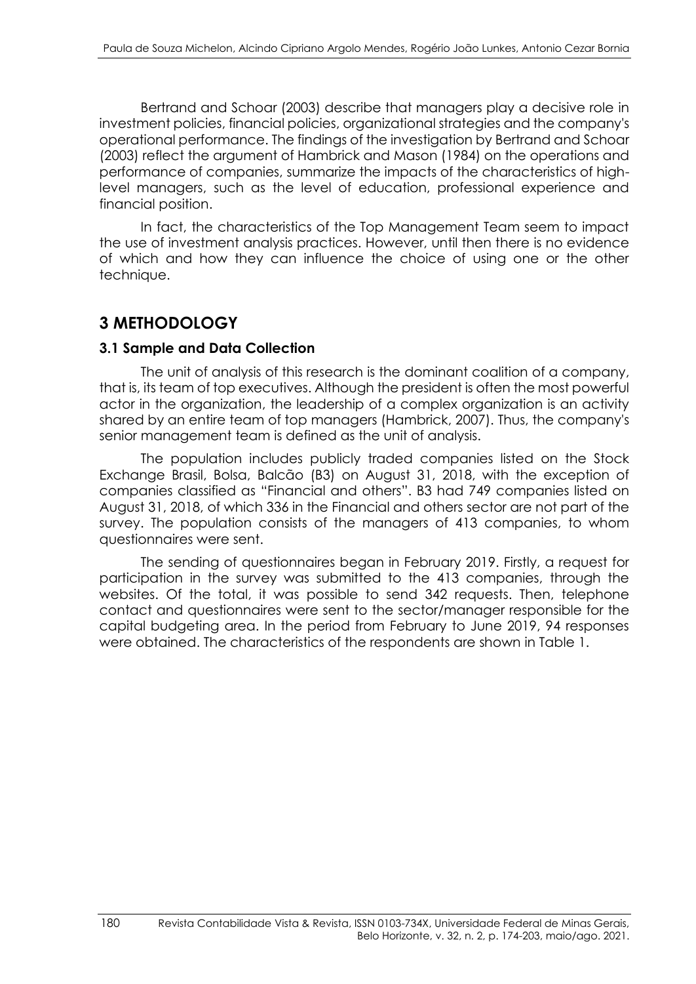Bertrand and Schoar (2003) describe that managers play a decisive role in investment policies, financial policies, organizational strategies and the company's operational performance. The findings of the investigation by Bertrand and Schoar (2003) reflect the argument of Hambrick and Mason (1984) on the operations and performance of companies, summarize the impacts of the characteristics of highlevel managers, such as the level of education, professional experience and financial position.

In fact, the characteristics of the Top Management Team seem to impact the use of investment analysis practices. However, until then there is no evidence of which and how they can influence the choice of using one or the other technique.

# **3 METHODOLOGY**

#### **3.1 Sample and Data Collection**

The unit of analysis of this research is the dominant coalition of a company, that is, its team of top executives. Although the president is often the most powerful actor in the organization, the leadership of a complex organization is an activity shared by an entire team of top managers (Hambrick, 2007). Thus, the company's senior management team is defined as the unit of analysis.

The population includes publicly traded companies listed on the Stock Exchange Brasil, Bolsa, Balcão (B3) on August 31, 2018, with the exception of companies classified as "Financial and others". B3 had 749 companies listed on August 31, 2018, of which 336 in the Financial and others sector are not part of the survey. The population consists of the managers of 413 companies, to whom questionnaires were sent.

The sending of questionnaires began in February 2019. Firstly, a request for participation in the survey was submitted to the 413 companies, through the websites. Of the total, it was possible to send 342 requests. Then, telephone contact and questionnaires were sent to the sector/manager responsible for the capital budgeting area. In the period from February to June 2019, 94 responses were obtained. The characteristics of the respondents are shown in Table 1.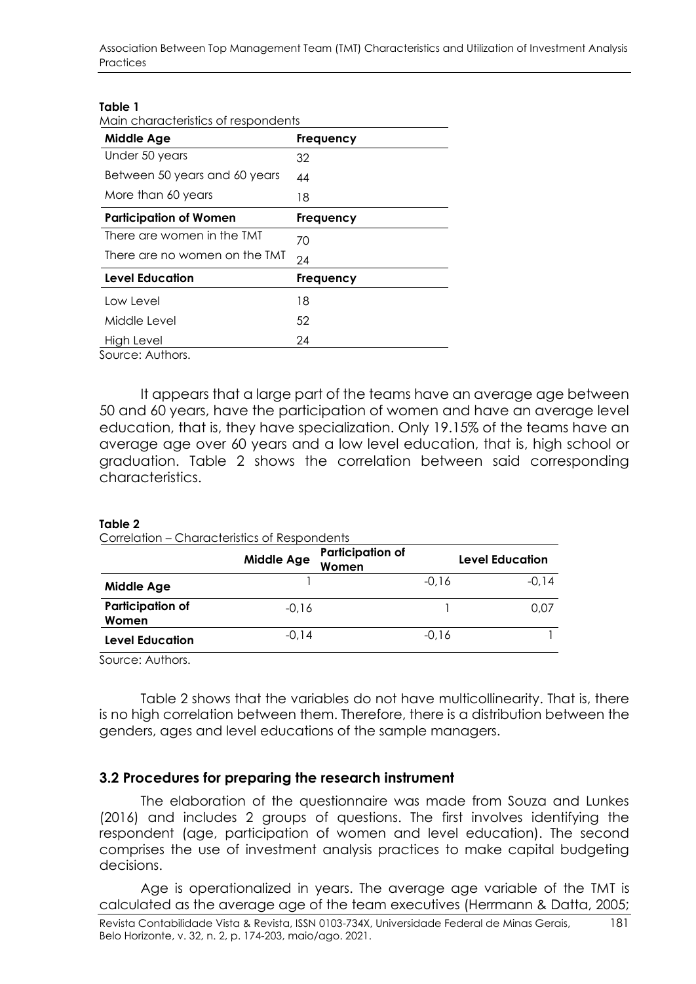Association Between Top Management Team (TMT) Characteristics and Utilization of Investment Analysis **Practices** 

#### **Table 1**

| Main characteristics of respondents |                  |
|-------------------------------------|------------------|
| <b>Middle Age</b>                   | <b>Frequency</b> |
| Under 50 years                      | 32               |
| Between 50 years and 60 years       | 44               |
| More than 60 years                  | 18               |
| <b>Participation of Women</b>       | <b>Frequency</b> |
| There are women in the TMT          | 70               |
| There are no women on the TMT       | 24               |
| <b>Level Education</b>              | <b>Frequency</b> |
| Low Level                           | 18               |
| Middle Level                        | 52               |
| High Level                          | 24               |
| Source: Authors.                    |                  |

It appears that a large part of the teams have an average age between 50 and 60 years, have the participation of women and have an average level education, that is, they have specialization. Only 19.15% of the teams have an average age over 60 years and a low level education, that is, high school or graduation. Table 2 shows the correlation between said corresponding characteristics.

#### **Table 2**

Correlation – Characteristics of Respondents

|                                  | <b>Middle Age</b> | <b>Participation of</b><br>Women |         | <b>Level Education</b> |
|----------------------------------|-------------------|----------------------------------|---------|------------------------|
| <b>Middle Age</b>                |                   |                                  | $-0,16$ | $-0.14$                |
| <b>Participation of</b><br>Women | $-0,16$           |                                  |         | 0.07                   |
| Level Education                  | $-0,14$           |                                  | $-0,16$ |                        |

Source: Authors.

Table 2 shows that the variables do not have multicollinearity. That is, there is no high correlation between them. Therefore, there is a distribution between the genders, ages and level educations of the sample managers.

#### **3.2 Procedures for preparing the research instrument**

The elaboration of the questionnaire was made from Souza and Lunkes (2016) and includes 2 groups of questions. The first involves identifying the respondent (age, participation of women and level education). The second comprises the use of investment analysis practices to make capital budgeting decisions.

Age is operationalized in years. The average age variable of the TMT is calculated as the average age of the team executives (Herrmann & Datta, 2005;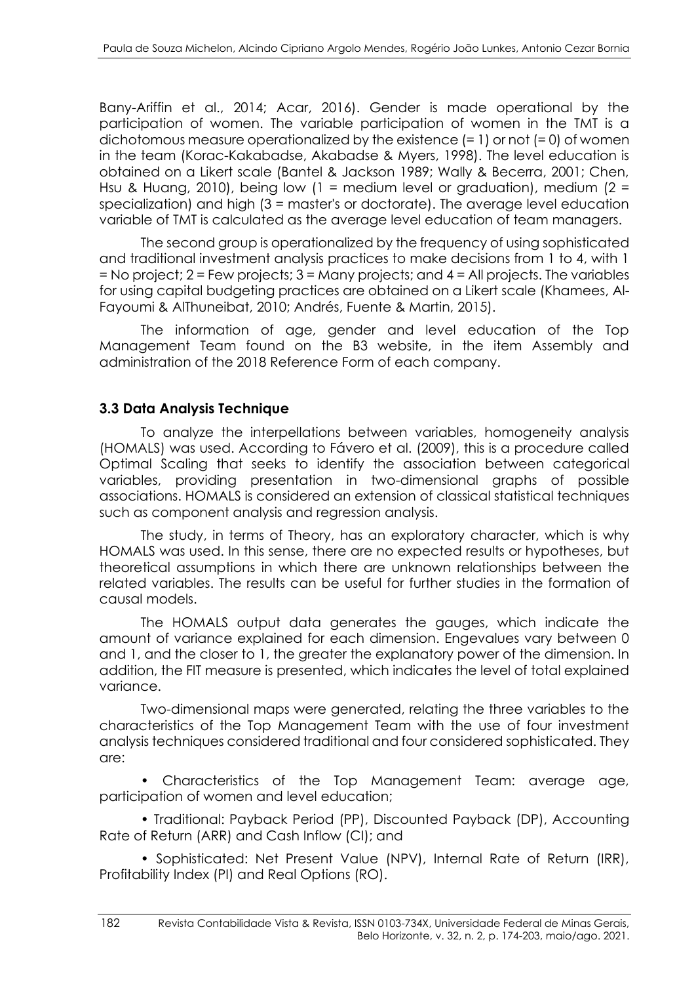Bany-Ariffin et al., 2014; Acar, 2016). Gender is made operational by the participation of women. The variable participation of women in the TMT is a dichotomous measure operationalized by the existence (= 1) or not (= 0) of women in the team (Korac-Kakabadse, Akabadse & Myers, 1998). The level education is obtained on a Likert scale (Bantel & Jackson 1989; Wally & Becerra, 2001; Chen, Hsu & Huang, 2010), being low (1 = medium level or graduation), medium (2 = specialization) and high (3 = master's or doctorate). The average level education variable of TMT is calculated as the average level education of team managers.

The second group is operationalized by the frequency of using sophisticated and traditional investment analysis practices to make decisions from 1 to 4, with 1 = No project; 2 = Few projects; 3 = Many projects; and 4 = All projects. The variables for using capital budgeting practices are obtained on a Likert scale (Khamees, Al-Fayoumi & AlThuneibat, 2010; Andrés, Fuente & Martin, 2015).

The information of age, gender and level education of the Top Management Team found on the B3 website, in the item Assembly and administration of the 2018 Reference Form of each company.

### **3.3 Data Analysis Technique**

To analyze the interpellations between variables, homogeneity analysis (HOMALS) was used. According to Fávero et al. (2009), this is a procedure called Optimal Scaling that seeks to identify the association between categorical variables, providing presentation in two-dimensional graphs of possible associations. HOMALS is considered an extension of classical statistical techniques such as component analysis and regression analysis.

The study, in terms of Theory, has an exploratory character, which is why HOMALS was used. In this sense, there are no expected results or hypotheses, but theoretical assumptions in which there are unknown relationships between the related variables. The results can be useful for further studies in the formation of causal models.

The HOMALS output data generates the gauges, which indicate the amount of variance explained for each dimension. Engevalues vary between 0 and 1, and the closer to 1, the greater the explanatory power of the dimension. In addition, the FIT measure is presented, which indicates the level of total explained variance.

Two-dimensional maps were generated, relating the three variables to the characteristics of the Top Management Team with the use of four investment analysis techniques considered traditional and four considered sophisticated. They are:

• Characteristics of the Top Management Team: average age, participation of women and level education;

• Traditional: Payback Period (PP), Discounted Payback (DP), Accounting Rate of Return (ARR) and Cash Inflow (CI); and

• Sophisticated: Net Present Value (NPV), Internal Rate of Return (IRR), Profitability Index (PI) and Real Options (RO).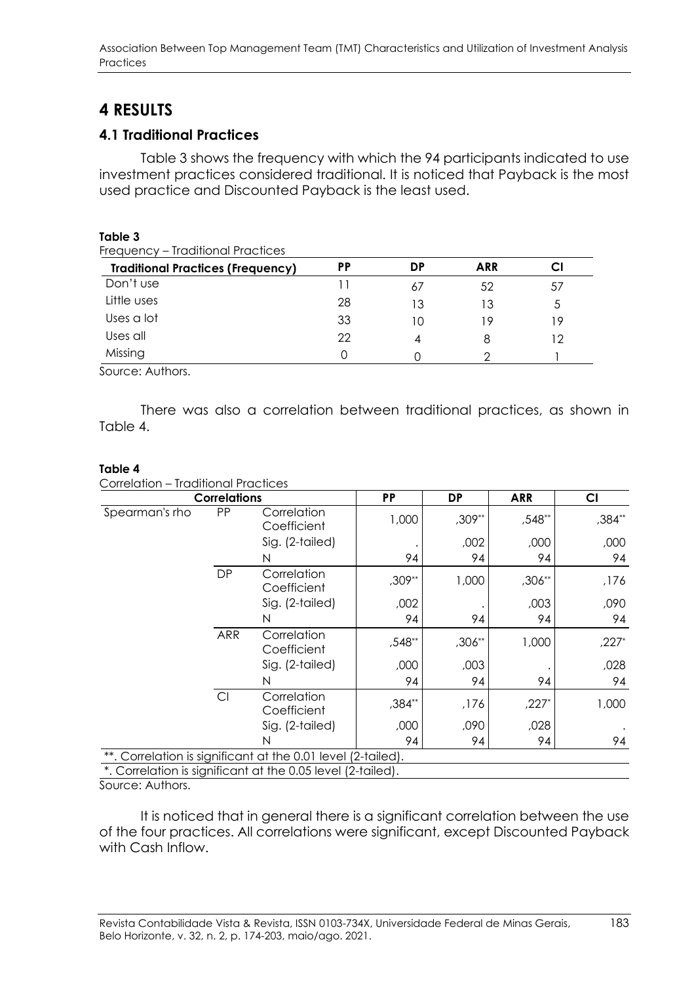# **4 RESULTS**

### **4.1 Traditional Practices**

Table 3 shows the frequency with which the 94 participants indicated to use investment practices considered traditional. It is noticed that Payback is the most used practice and Discounted Payback is the least used.

| Table 3<br>Frequency - Traditional Practices |    |    |            |    |
|----------------------------------------------|----|----|------------|----|
| <b>Traditional Practices (Frequency)</b>     | PP | DP | <b>ARR</b> |    |
| Don't use                                    |    | 67 | 52         | 57 |
| Little uses                                  | 28 | 13 | 13         | 5  |
| Uses a lot                                   | 33 | 10 | 19         | 19 |
| Uses all                                     | 22 | 4  | 8          | 12 |
| Missing                                      |    |    |            |    |

Source: Authors.

There was also a correlation between traditional practices, as shown in Table 4.

#### **Table 4**

Correlation – Traditional Practices

|                                                              | <b>Correlations</b> |                            | <b>PP</b> | DP     | <b>ARR</b> | CI      |
|--------------------------------------------------------------|---------------------|----------------------------|-----------|--------|------------|---------|
| Spearman's rho                                               | PP                  | Correlation<br>Coefficient | 1,000     | ,309** | ,548**     | ,384**  |
|                                                              |                     | Sig. (2-tailed)            |           | ,002   | ,000       | ,000    |
|                                                              |                     | N                          | 94        | 94     | 94         | 94      |
|                                                              | <b>DP</b>           | Correlation<br>Coefficient | ,309**    | 1,000  | ,306**     | ,176    |
|                                                              |                     | Sig. (2-tailed)            | ,002      |        | ,003       | ,090    |
|                                                              |                     | N                          | 94        | 94     | 94         | 94      |
|                                                              | ARR                 | Correlation<br>Coefficient | ,548**    | ,306** | 1,000      | $,227*$ |
|                                                              |                     | Sig. (2-tailed)            | ,000      | ,003   |            | ,028    |
|                                                              |                     | N                          | 94        | 94     | 94         | 94      |
|                                                              | CI                  | Correlation<br>Coefficient | ,384**    | ,176   | $,227*$    | 1,000   |
|                                                              |                     | Sig. (2-tailed)            | ,000      | ,090   | ,028       |         |
|                                                              |                     | N                          | 94        | 94     | 94         | 94      |
| **. Correlation is significant at the 0.01 level (2-tailed). |                     |                            |           |        |            |         |

\*. Correlation is significant at the 0.05 level (2-tailed).

Source: Authors.

It is noticed that in general there is a significant correlation between the use of the four practices. All correlations were significant, except Discounted Payback with Cash Inflow.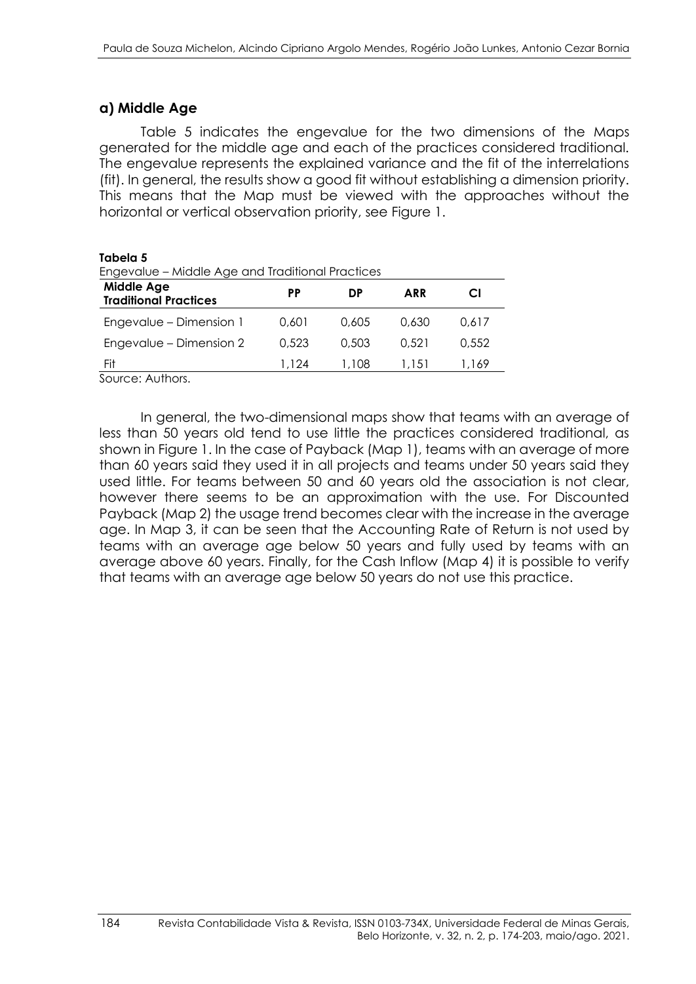#### **a) Middle Age**

Table 5 indicates the engevalue for the two dimensions of the Maps generated for the middle age and each of the practices considered traditional. The engevalue represents the explained variance and the fit of the interrelations (fit). In general, the results show a good fit without establishing a dimension priority. This means that the Map must be viewed with the approaches without the horizontal or vertical observation priority, see Figure 1.

| iapeia 5<br>Engevalue - Middle Age and Traditional Practices |       |       |       |       |  |  |  |
|--------------------------------------------------------------|-------|-------|-------|-------|--|--|--|
| <b>Middle Age</b><br><b>Traditional Practices</b>            | РP    | DP    | ARR   | CI    |  |  |  |
| Engevalue - Dimension 1                                      | 0.601 | 0.605 | 0.630 | 0.617 |  |  |  |
| Engevalue – Dimension 2                                      | 0.523 | 0.503 | 0.521 | 0.552 |  |  |  |
| Fit                                                          | 1.124 | 1.108 | 1.151 | 1.169 |  |  |  |

Source: Authors.

**Tabela 5**

In general, the two-dimensional maps show that teams with an average of less than 50 years old tend to use little the practices considered traditional, as shown in Figure 1. In the case of Payback (Map 1), teams with an average of more than 60 years said they used it in all projects and teams under 50 years said they used little. For teams between 50 and 60 years old the association is not clear, however there seems to be an approximation with the use. For Discounted Payback (Map 2) the usage trend becomes clear with the increase in the average age. In Map 3, it can be seen that the Accounting Rate of Return is not used by teams with an average age below 50 years and fully used by teams with an average above 60 years. Finally, for the Cash Inflow (Map 4) it is possible to verify that teams with an average age below 50 years do not use this practice.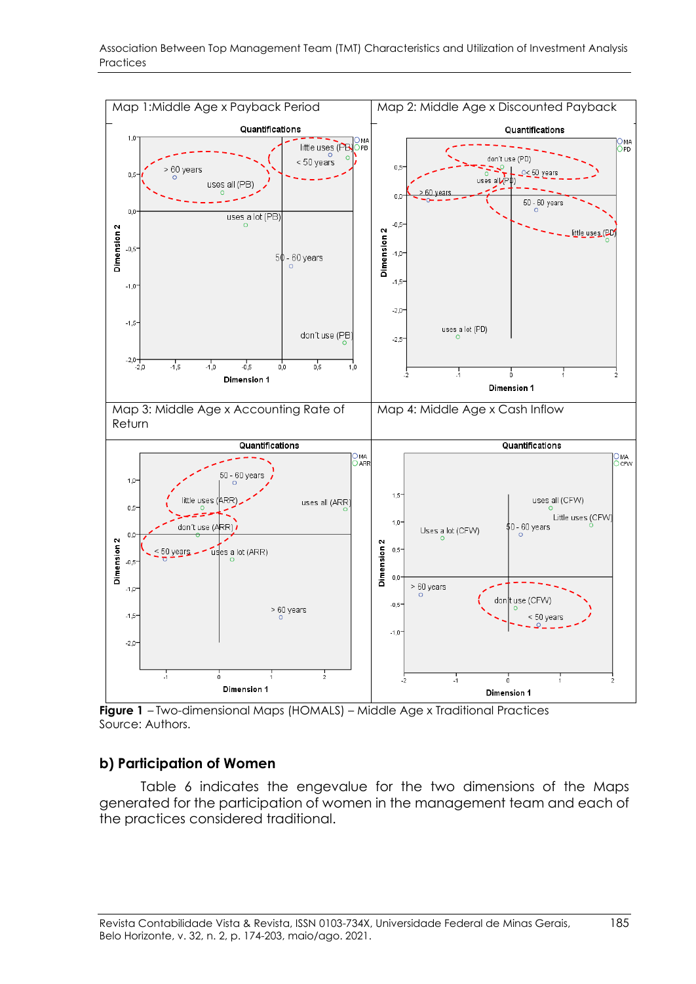

Association Between Top Management Team (TMT) Characteristics and Utilization of Investment Analysis Practices

**Figure 1** – Two-dimensional Maps (HOMALS) – Middle Age x Traditional Practices Source: Authors.

#### **b) Participation of Women**

Table 6 indicates the engevalue for the two dimensions of the Maps generated for the participation of women in the management team and each of the practices considered traditional.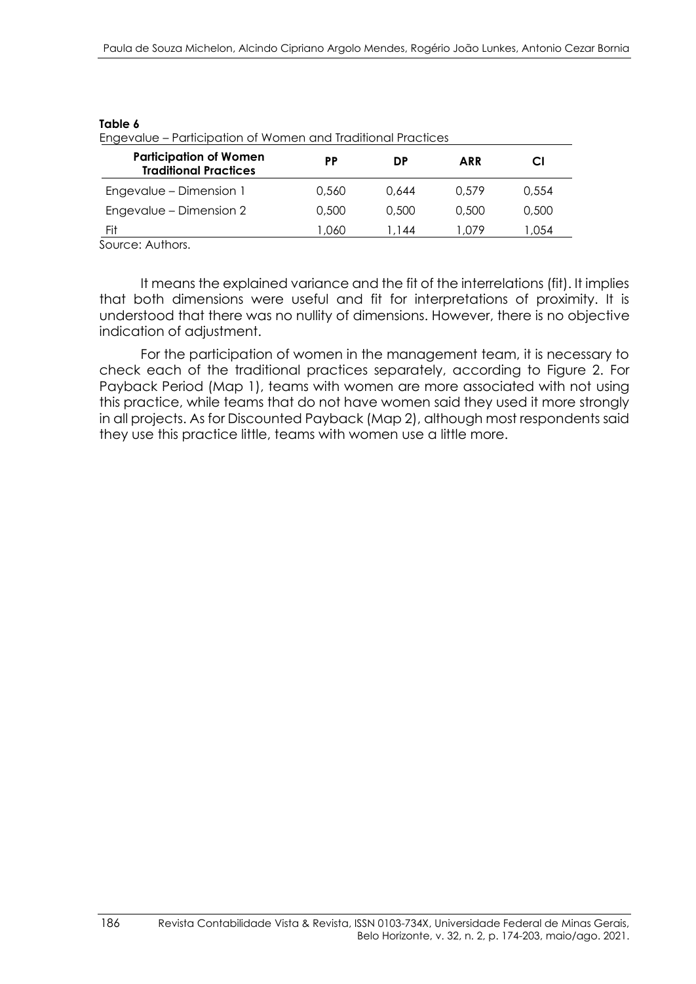| iabl<br>e |
|-----------|
|-----------|

Engevalue – Participation of Women and Traditional Practices

| <b>Participation of Women</b><br><b>Traditional Practices</b> | РP     | DP    | <b>ARR</b> | CI     |
|---------------------------------------------------------------|--------|-------|------------|--------|
| Engevalue - Dimension 1                                       | 0.560  | 0.644 | 0.579      | 0.554  |
| Engevalue - Dimension 2                                       | 0.500  | 0,500 | 0.500      | 0.500  |
| Fit                                                           | 060. ا | 1.144 | 1,079      | 054. ا |

Source: Authors.

It means the explained variance and the fit of the interrelations (fit). It implies that both dimensions were useful and fit for interpretations of proximity. It is understood that there was no nullity of dimensions. However, there is no objective indication of adjustment.

For the participation of women in the management team, it is necessary to check each of the traditional practices separately, according to Figure 2. For Payback Period (Map 1), teams with women are more associated with not using this practice, while teams that do not have women said they used it more strongly in all projects. As for Discounted Payback (Map 2), although most respondents said they use this practice little, teams with women use a little more.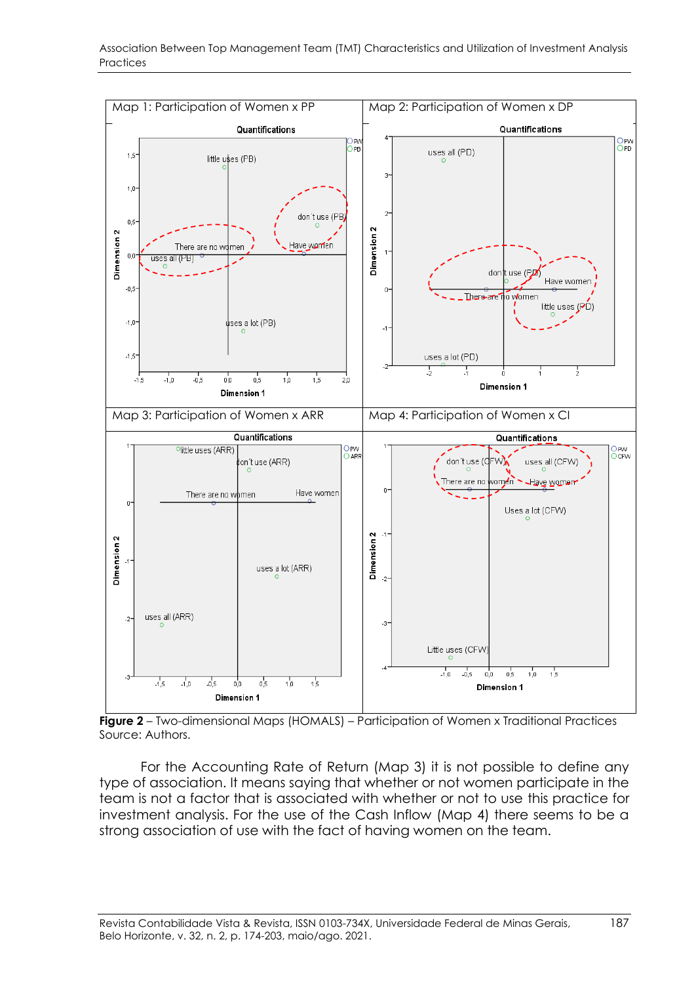



**Figure 2** – Two-dimensional Maps (HOMALS) – Participation of Women x Traditional Practices Source: Authors.

For the Accounting Rate of Return (Map 3) it is not possible to define any type of association. It means saying that whether or not women participate in the team is not a factor that is associated with whether or not to use this practice for investment analysis. For the use of the Cash Inflow (Map 4) there seems to be a strong association of use with the fact of having women on the team.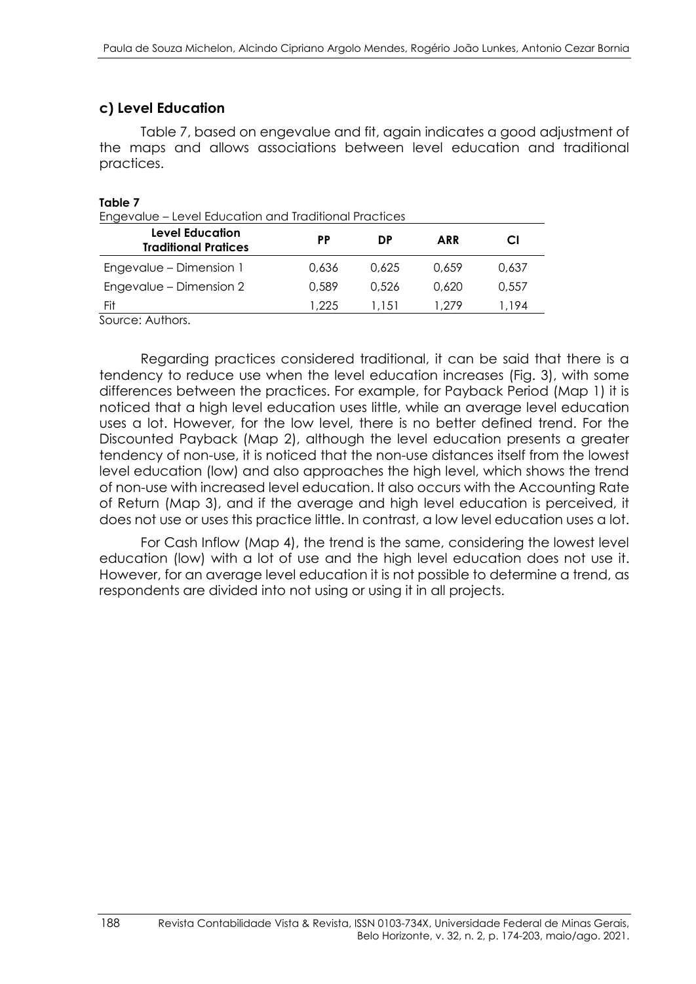### **c) Level Education**

Table 7, based on engevalue and fit, again indicates a good adjustment of the maps and allows associations between level education and traditional practices.

#### **Table 7**

Engevalue – Level Education and Traditional Practices

| <b>Level Education</b><br><b>Traditional Pratices</b> | PP    | DP    | <b>ARR</b> | CI    |
|-------------------------------------------------------|-------|-------|------------|-------|
| Engevalue – Dimension 1                               | 0.636 | 0.625 | 0.659      | 0.637 |
| Engevalue - Dimension 2                               | 0.589 | 0.526 | 0.620      | 0.557 |
| Fit                                                   | 1.225 | 1.151 | 1.279      | 1.194 |

Source: Authors.

Regarding practices considered traditional, it can be said that there is a tendency to reduce use when the level education increases (Fig. 3), with some differences between the practices. For example, for Payback Period (Map 1) it is noticed that a high level education uses little, while an average level education uses a lot. However, for the low level, there is no better defined trend. For the Discounted Payback (Map 2), although the level education presents a greater tendency of non-use, it is noticed that the non-use distances itself from the lowest level education (low) and also approaches the high level, which shows the trend of non-use with increased level education. It also occurs with the Accounting Rate of Return (Map 3), and if the average and high level education is perceived, it does not use or uses this practice little. In contrast, a low level education uses a lot.

For Cash Inflow (Map 4), the trend is the same, considering the lowest level education (low) with a lot of use and the high level education does not use it. However, for an average level education it is not possible to determine a trend, as respondents are divided into not using or using it in all projects.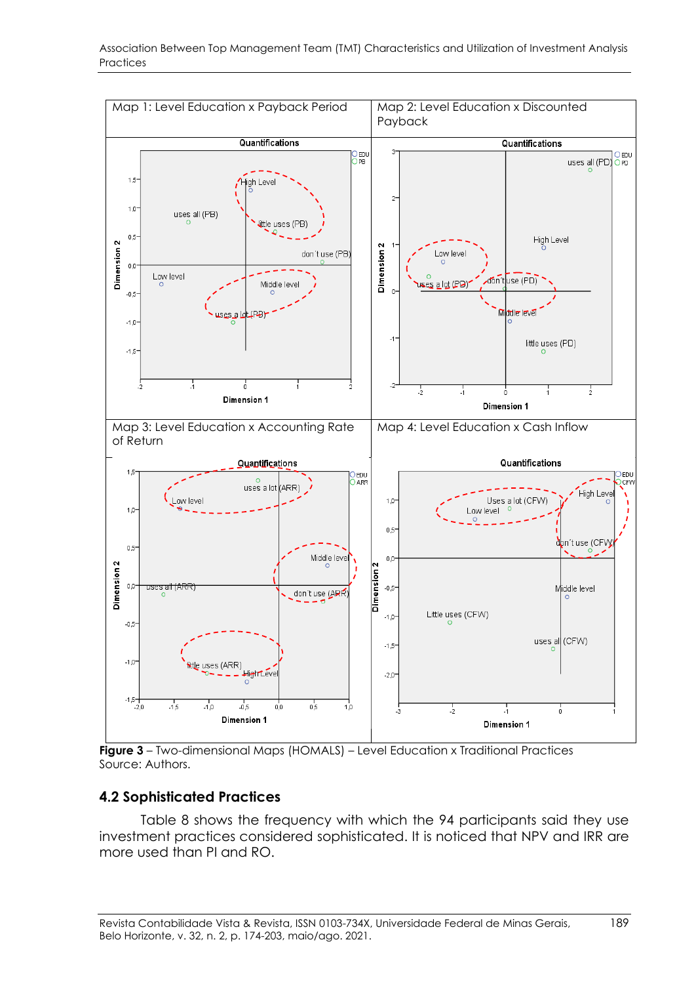

**Figure 3** – Two-dimensional Maps (HOMALS) – Level Education x Traditional Practices Source: Authors.

#### **4.2 Sophisticated Practices**

Table 8 shows the frequency with which the 94 participants said they use investment practices considered sophisticated. It is noticed that NPV and IRR are more used than PI and RO.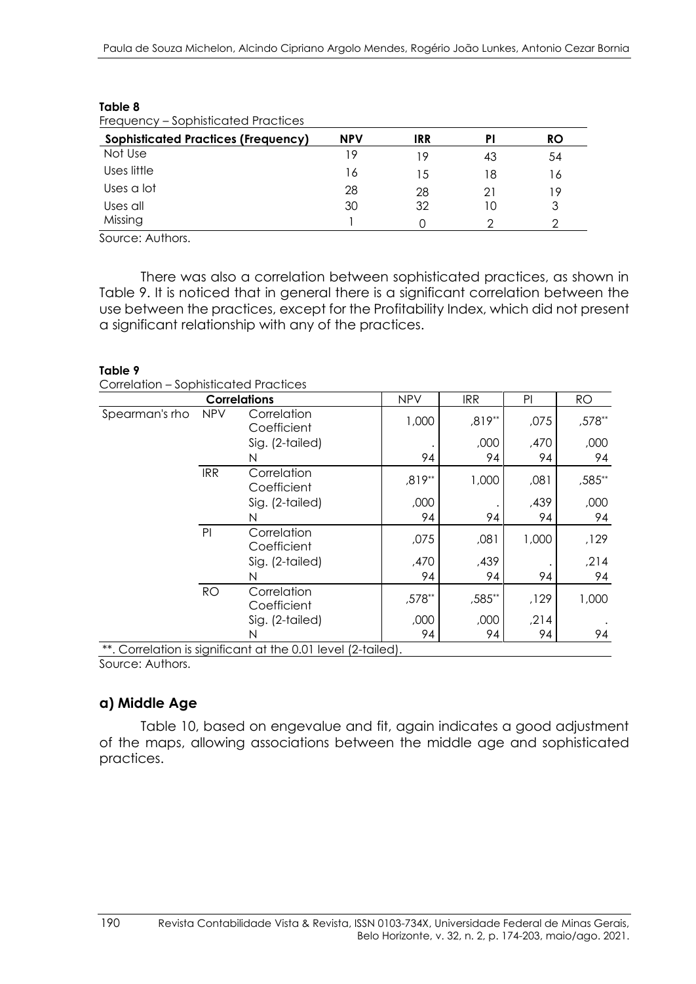| <b>Sophisticated Practices (Frequency)</b> | <b>NPV</b> | IRR | PI | <b>RO</b> |
|--------------------------------------------|------------|-----|----|-----------|
| Not Use                                    | 19         | 19  | 43 | 54        |
| Uses little                                | 16         | 15  | 18 | 16        |
| Uses a lot                                 | 28         | 28  | 21 | 19        |
| Uses all                                   | 30         | 32  | 10 | 3         |
| Missing                                    |            |     |    | ာ         |

# **Table 8**

Source: Authors.

There was also a correlation between sophisticated practices, as shown in Table 9. It is noticed that in general there is a significant correlation between the use between the practices, except for the Profitability Index, which did not present a significant relationship with any of the practices.

#### **Table 9**

| Correlation - Sophisticated Practices |  |
|---------------------------------------|--|
|                                       |  |

|                |            | <b>Correlations</b>                                          | <b>NPV</b> | <b>IRR</b> | PI    | <b>RO</b> |
|----------------|------------|--------------------------------------------------------------|------------|------------|-------|-----------|
| Spearman's rho | <b>NPV</b> | Correlation<br>Coefficient                                   | 1,000      | ,819**     | ,075  | ,578**    |
|                |            | Sig. (2-tailed)                                              |            | ,000       | ,470  | ,000      |
|                |            | N                                                            | 94         | 94         | 94    | 94        |
|                | <b>IRR</b> | Correlation<br>Coefficient                                   | ,819**     | 1,000      | ,081  | ,585**    |
|                |            | Sig. (2-tailed)                                              | ,000       |            | ,439  | ,000      |
|                |            | N                                                            | 94         | 94         | 94    | 94        |
|                | PI         | Correlation<br>Coefficient                                   | ,075       | ,081       | 1,000 | ,129      |
|                |            | Sig. (2-tailed)                                              | ,470       | ,439       |       | , 214     |
|                |            | N                                                            | 94         | 94         | 94    | 94        |
|                | <b>RO</b>  | Correlation<br>Coefficient                                   | ,578**     | ,585**     | ,129  | 1,000     |
|                |            | Sig. (2-tailed)                                              | ,000       | ,000       | , 214 |           |
|                |            | N                                                            | 94         | 94         | 94    | 94        |
|                |            | **. Correlation is significant at the 0.01 level (2-tailed). |            |            |       |           |

Source: Authors.

### **a) Middle Age**

Table 10, based on engevalue and fit, again indicates a good adjustment of the maps, allowing associations between the middle age and sophisticated practices.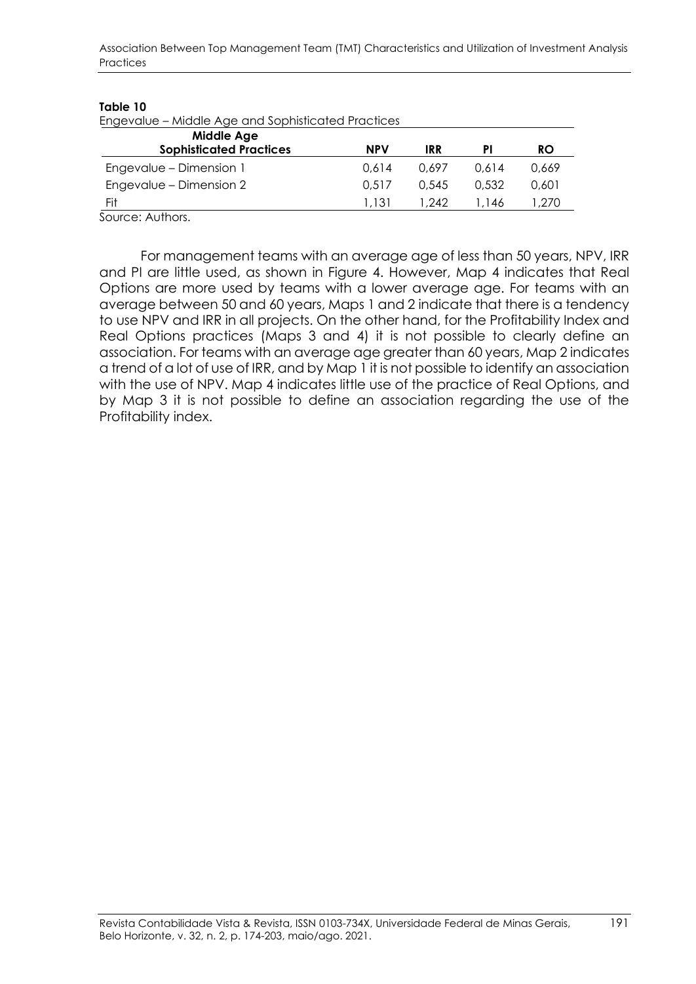Association Between Top Management Team (TMT) Characteristics and Utilization of Investment Analysis **Practices** 

#### **Table 10**

| Engevalue - Middle Age and Sophisticated Practices |            |       |           |  |  |  |  |
|----------------------------------------------------|------------|-------|-----------|--|--|--|--|
|                                                    |            |       |           |  |  |  |  |
| <b>NPV</b>                                         | <b>IRR</b> | PI    | <b>RO</b> |  |  |  |  |
| 0.614                                              | 0.697      | 0.614 | 0.669     |  |  |  |  |
| 0.517                                              | 0.545      | 0.532 | 0.601     |  |  |  |  |
| 1.131                                              | 1.242      | l.146 | .270      |  |  |  |  |
|                                                    |            |       |           |  |  |  |  |

Source: Authors.

For management teams with an average age of less than 50 years, NPV, IRR and PI are little used, as shown in Figure 4. However, Map 4 indicates that Real Options are more used by teams with a lower average age. For teams with an average between 50 and 60 years, Maps 1 and 2 indicate that there is a tendency to use NPV and IRR in all projects. On the other hand, for the Profitability Index and Real Options practices (Maps 3 and 4) it is not possible to clearly define an association. For teams with an average age greater than 60 years, Map 2 indicates a trend of a lot of use of IRR, and by Map 1 it is not possible to identify an association with the use of NPV. Map 4 indicates little use of the practice of Real Options, and by Map 3 it is not possible to define an association regarding the use of the Profitability index.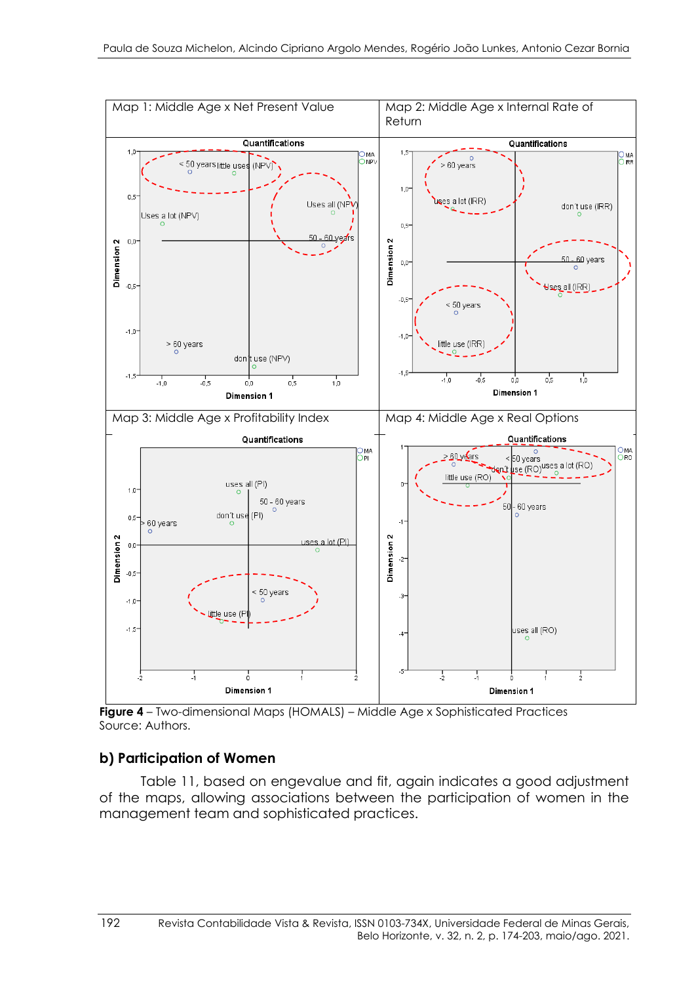

**Figure 4** – Two-dimensional Maps (HOMALS) – Middle Age x Sophisticated Practices Source: Authors.

### **b) Participation of Women**

Table 11, based on engevalue and fit, again indicates a good adjustment of the maps, allowing associations between the participation of women in the management team and sophisticated practices.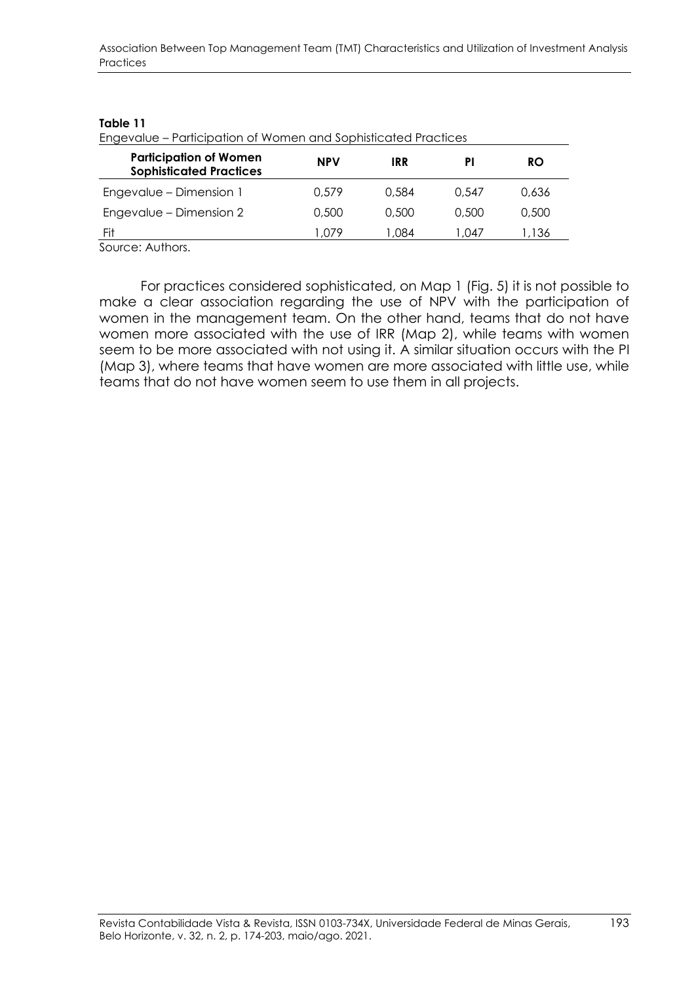#### **Table 11**

Engevalue – Participation of Women and Sophisticated Practices

| <b>Participation of Women</b><br><b>Sophisticated Practices</b> | <b>NPV</b> | IRR   |        | <b>RO</b> |
|-----------------------------------------------------------------|------------|-------|--------|-----------|
| Engevalue - Dimension 1                                         | 0.579      | 0.584 | 0.547  | 0.636     |
| Engevalue - Dimension 2                                         | 0,500      | 0,500 | 0.500  | 0,500     |
| Fit<br>.                                                        | 079. ا     | 0.084 | l .047 | 1.136     |

Source: Authors.

For practices considered sophisticated, on Map 1 (Fig. 5) it is not possible to make a clear association regarding the use of NPV with the participation of women in the management team. On the other hand, teams that do not have women more associated with the use of IRR (Map 2), while teams with women seem to be more associated with not using it. A similar situation occurs with the PI (Map 3), where teams that have women are more associated with little use, while teams that do not have women seem to use them in all projects.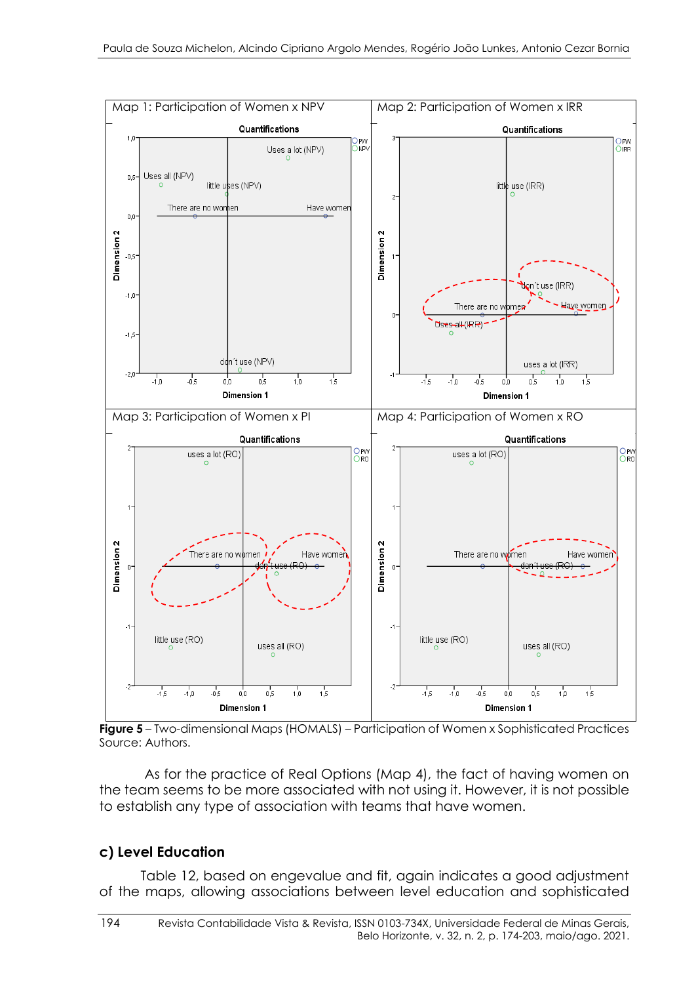

**Figure 5** – Two-dimensional Maps (HOMALS) – Participation of Women x Sophisticated Practices Source: Authors.

As for the practice of Real Options (Map 4), the fact of having women on the team seems to be more associated with not using it. However, it is not possible to establish any type of association with teams that have women.

#### **c) Level Education**

Table 12, based on engevalue and fit, again indicates a good adjustment of the maps, allowing associations between level education and sophisticated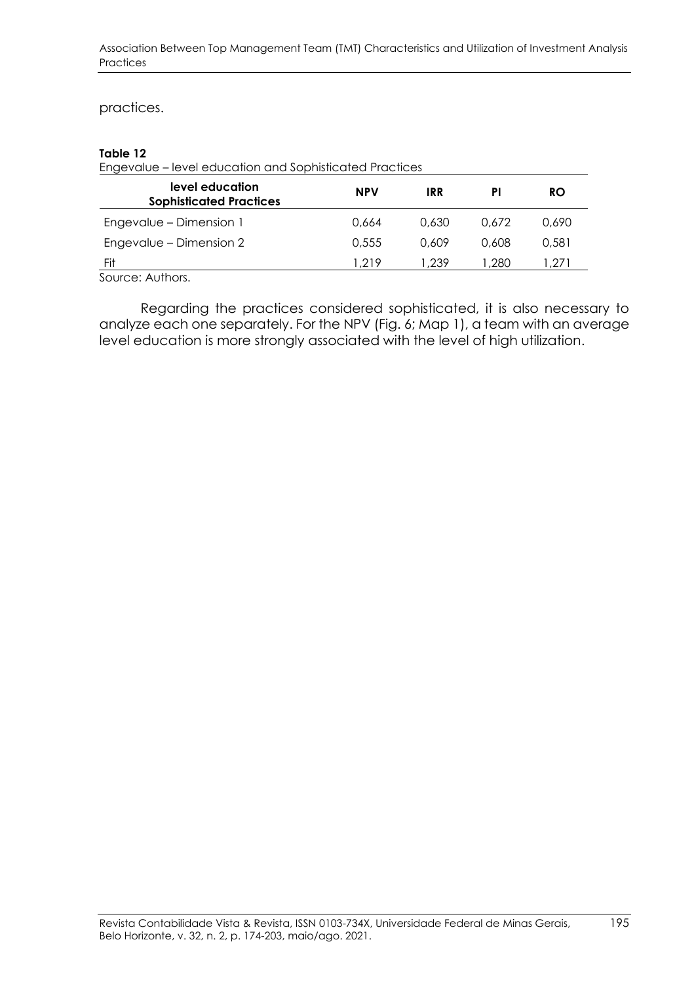#### practices.

#### **Table 12**

Engevalue – level education and Sophisticated Practices

| level education<br><b>Sophisticated Practices</b>                                          | <b>NPV</b> | <b>IRR</b> | ΡI    | RO     |
|--------------------------------------------------------------------------------------------|------------|------------|-------|--------|
| Engevalue – Dimension 1                                                                    | 0.664      | 0.630      | 0.672 | 0.690  |
| Engevalue - Dimension 2                                                                    | 0.555      | 0.609      | 0.608 | 0.581  |
| Fit                                                                                        | 1.219      | 1.239      | .280  | 271. ا |
| $\mathsf{C}$ is a set of the set of $\mathsf{A}$ and $\mathsf{A}$ is a set of $\mathsf{C}$ |            |            |       |        |

Source: Authors.

Regarding the practices considered sophisticated, it is also necessary to analyze each one separately. For the NPV (Fig. 6; Map 1), a team with an average level education is more strongly associated with the level of high utilization.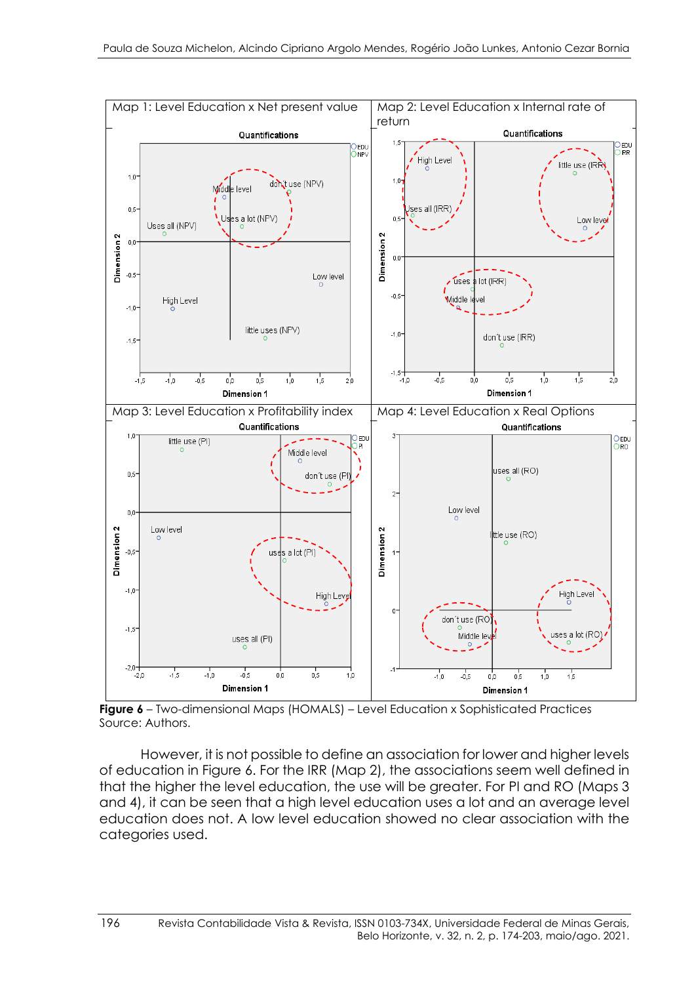

**Figure 6** – Two-dimensional Maps (HOMALS) – Level Education x Sophisticated Practices Source: Authors.

However, it is not possible to define an association for lower and higher levels of education in Figure 6. For the IRR (Map 2), the associations seem well defined in that the higher the level education, the use will be greater. For PI and RO (Maps 3 and 4), it can be seen that a high level education uses a lot and an average level education does not. A low level education showed no clear association with the categories used.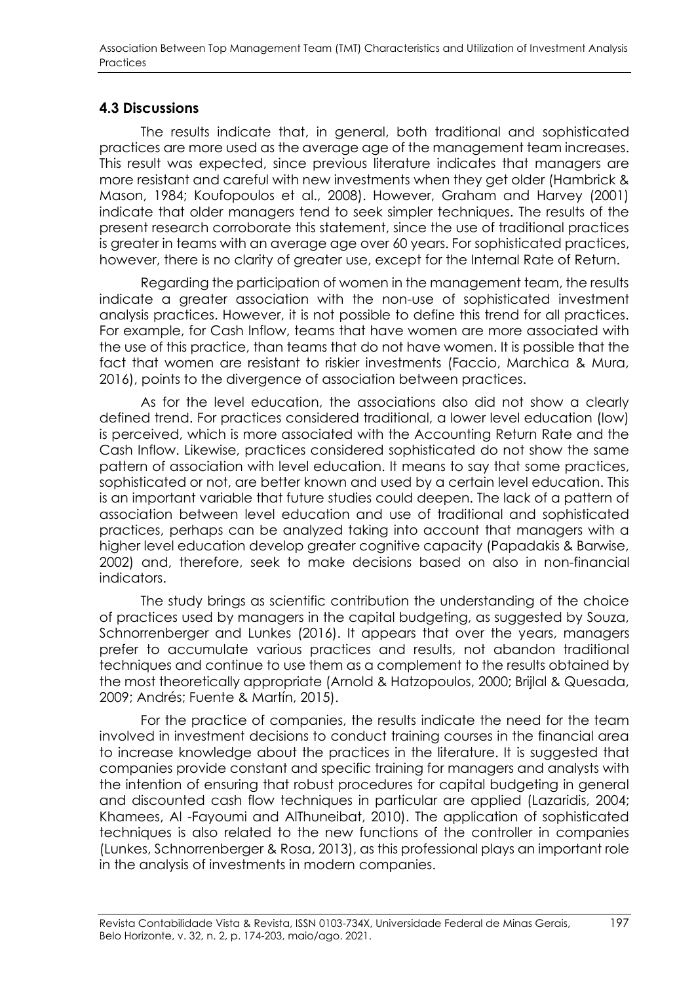### **4.3 Discussions**

The results indicate that, in general, both traditional and sophisticated practices are more used as the average age of the management team increases. This result was expected, since previous literature indicates that managers are more resistant and careful with new investments when they get older (Hambrick & Mason, 1984; Koufopoulos et al., 2008). However, Graham and Harvey (2001) indicate that older managers tend to seek simpler techniques. The results of the present research corroborate this statement, since the use of traditional practices is greater in teams with an average age over 60 years. For sophisticated practices, however, there is no clarity of greater use, except for the Internal Rate of Return.

Regarding the participation of women in the management team, the results indicate a greater association with the non-use of sophisticated investment analysis practices. However, it is not possible to define this trend for all practices. For example, for Cash Inflow, teams that have women are more associated with the use of this practice, than teams that do not have women. It is possible that the fact that women are resistant to riskier investments (Faccio, Marchica & Mura, 2016), points to the divergence of association between practices.

As for the level education, the associations also did not show a clearly defined trend. For practices considered traditional, a lower level education (low) is perceived, which is more associated with the Accounting Return Rate and the Cash Inflow. Likewise, practices considered sophisticated do not show the same pattern of association with level education. It means to say that some practices, sophisticated or not, are better known and used by a certain level education. This is an important variable that future studies could deepen. The lack of a pattern of association between level education and use of traditional and sophisticated practices, perhaps can be analyzed taking into account that managers with a higher level education develop greater cognitive capacity (Papadakis & Barwise, 2002) and, therefore, seek to make decisions based on also in non-financial indicators.

The study brings as scientific contribution the understanding of the choice of practices used by managers in the capital budgeting, as suggested by Souza, Schnorrenberger and Lunkes (2016). It appears that over the years, managers prefer to accumulate various practices and results, not abandon traditional techniques and continue to use them as a complement to the results obtained by the most theoretically appropriate (Arnold & Hatzopoulos, 2000; Brijlal & Quesada, 2009; Andrés; Fuente & Martín, 2015).

For the practice of companies, the results indicate the need for the team involved in investment decisions to conduct training courses in the financial area to increase knowledge about the practices in the literature. It is suggested that companies provide constant and specific training for managers and analysts with the intention of ensuring that robust procedures for capital budgeting in general and discounted cash flow techniques in particular are applied (Lazaridis, 2004; Khamees, Al -Fayoumi and AlThuneibat, 2010). The application of sophisticated techniques is also related to the new functions of the controller in companies (Lunkes, Schnorrenberger & Rosa, 2013), as this professional plays an important role in the analysis of investments in modern companies.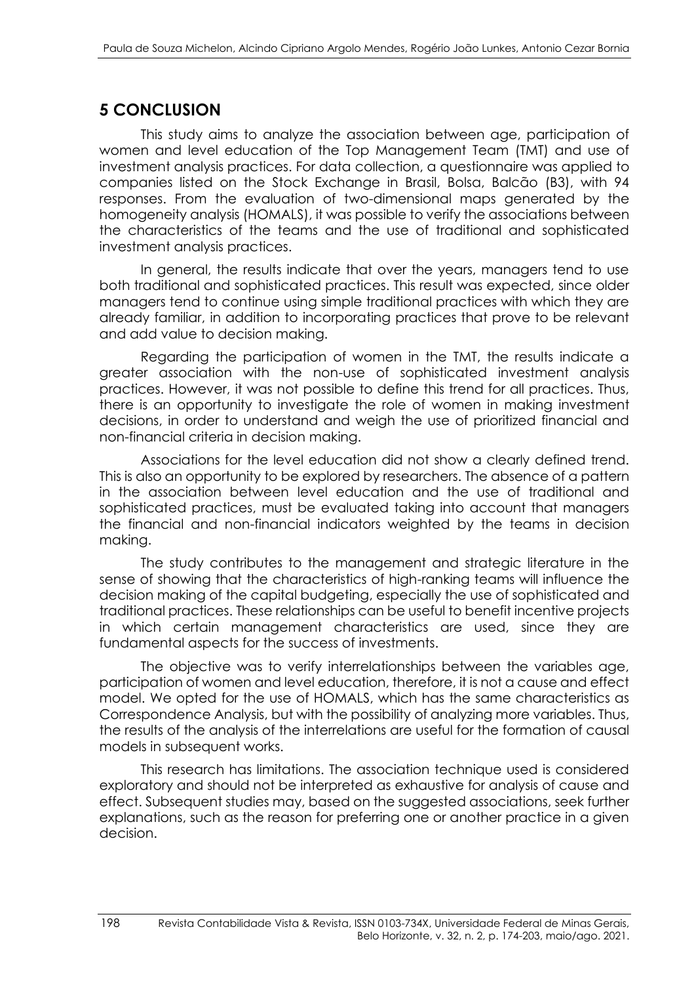# **5 CONCLUSION**

This study aims to analyze the association between age, participation of women and level education of the Top Management Team (TMT) and use of investment analysis practices. For data collection, a questionnaire was applied to companies listed on the Stock Exchange in Brasil, Bolsa, Balcão (B3), with 94 responses. From the evaluation of two-dimensional maps generated by the homogeneity analysis (HOMALS), it was possible to verify the associations between the characteristics of the teams and the use of traditional and sophisticated investment analysis practices.

In general, the results indicate that over the years, managers tend to use both traditional and sophisticated practices. This result was expected, since older managers tend to continue using simple traditional practices with which they are already familiar, in addition to incorporating practices that prove to be relevant and add value to decision making.

Regarding the participation of women in the TMT, the results indicate a greater association with the non-use of sophisticated investment analysis practices. However, it was not possible to define this trend for all practices. Thus, there is an opportunity to investigate the role of women in making investment decisions, in order to understand and weigh the use of prioritized financial and non-financial criteria in decision making.

Associations for the level education did not show a clearly defined trend. This is also an opportunity to be explored by researchers. The absence of a pattern in the association between level education and the use of traditional and sophisticated practices, must be evaluated taking into account that managers the financial and non-financial indicators weighted by the teams in decision making.

The study contributes to the management and strategic literature in the sense of showing that the characteristics of high-ranking teams will influence the decision making of the capital budgeting, especially the use of sophisticated and traditional practices. These relationships can be useful to benefit incentive projects in which certain management characteristics are used, since they are fundamental aspects for the success of investments.

The objective was to verify interrelationships between the variables age, participation of women and level education, therefore, it is not a cause and effect model. We opted for the use of HOMALS, which has the same characteristics as Correspondence Analysis, but with the possibility of analyzing more variables. Thus, the results of the analysis of the interrelations are useful for the formation of causal models in subsequent works.

This research has limitations. The association technique used is considered exploratory and should not be interpreted as exhaustive for analysis of cause and effect. Subsequent studies may, based on the suggested associations, seek further explanations, such as the reason for preferring one or another practice in a given decision.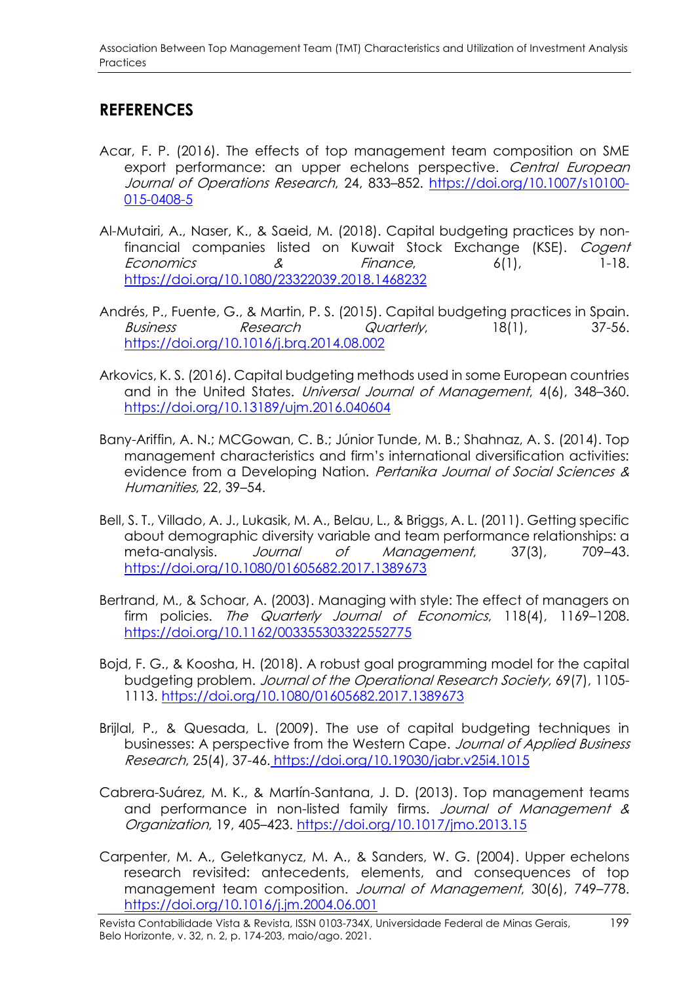# **REFERENCES**

- Acar, F. P. (2016). The effects of top management team composition on SME export performance: an upper echelons perspective. Central European Journal of Operations Research, 24, 833–852. [https://doi.org/10.1007/s10100-](https://doi.org/10.1007/s10100-015-0408-5) [015-0408-5](https://doi.org/10.1007/s10100-015-0408-5)
- Al-Mutairi, A., Naser, K., & Saeid, M. (2018). Capital budgeting practices by nonfinancial companies listed on Kuwait Stock Exchange (KSE). Cogent Economics 8  $\alpha$  Finance, 6(1), 1-18. <https://doi.org/10.1080/23322039.2018.1468232>
- Andrés, P., Fuente, G., & Martin, P. S. (2015). Capital budgeting practices in Spain. Business Research Quarterly, 18(1), 37-56. <https://doi.org/10.1016/j.brq.2014.08.002>
- Arkovics, K. S. (2016). Capital budgeting methods used in some European countries and in the United States. Universal Journal of Management, 4(6), 348–360. https://doi.org/10.13189/ujm.2016.040604
- Bany-Ariffin, A. N.; MCGowan, C. B.; Júnior Tunde, M. B.; Shahnaz, A. S. (2014). Top management characteristics and firm's international diversification activities: evidence from a Developing Nation. Pertanika Journal of Social Sciences & Humanities, 22, 39–54.
- Bell, S. T., Villado, A. J., Lukasik, M. A., Belau, L., & Briggs, A. L. (2011). Getting specific about demographic diversity variable and team performance relationships: a meta-analysis. Journal of Management, 37(3), 709–43. <https://doi.org/10.1080/01605682.2017.1389673>
- Bertrand, M., & Schoar, A. (2003). Managing with style: The effect of managers on firm policies. The Quarterly Journal of Economics, 118(4), 1169-1208. <https://doi.org/10.1162/003355303322552775>
- Bojd, F. G., & Koosha, H. (2018). A robust goal programming model for the capital budgeting problem. Journal of the Operational Research Society, 69(7), 1105- 1113. https://doi.org[/10.1080/01605682.2017.1389673](http://dx.doi.org/10.1080/01605682.2017.1389673)
- Brijlal, P., & Quesada, L. (2009). The use of capital budgeting techniques in businesses: A perspective from the Western Cape. Journal of Applied Business Research, 25(4), 37-46. https://doi.org[/10.19030/jabr.v25i4.1015](http://dx.doi.org/10.19030/jabr.v25i4.1015)
- Cabrera-Suárez, M. K., & Martín-Santana, J. D. (2013). Top management teams and performance in non-listed family firms. Journal of Management & Organization, 19, 405–423. <https://doi.org/10.1017/jmo.2013.15>
- Carpenter, M. A., Geletkanycz, M. A., & Sanders, W. G. (2004). Upper echelons research revisited: antecedents, elements, and consequences of top management team composition. Journal of Management, 30(6), 749-778. [https://doi.org/10.1016/j.jm.2004.06.001](https://doi.org/10.1016%2Fj.jm.2004.06.001)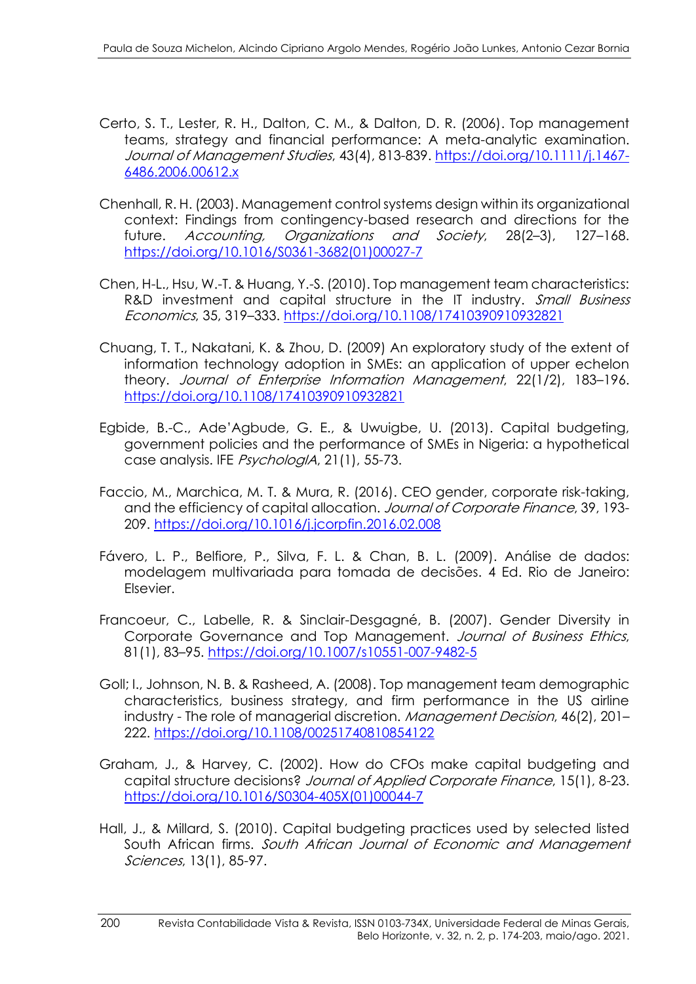- Certo, S. T., Lester, R. H., Dalton, C. M., & Dalton, D. R. (2006). Top management teams, strategy and financial performance: A meta-analytic examination. Journal of Management Studies, 43(4), 813-839. [https://doi.org/10.1111/j.1467-](https://doi.org/10.1111/j.1467-6486.2006.00612.x) [6486.2006.00612.x](https://doi.org/10.1111/j.1467-6486.2006.00612.x)
- Chenhall, R. H. (2003). Management control systems design within its organizational context: Findings from contingency-based research and directions for the future. Accounting, Organizations and Society, 28(2–3), 127–168. [https://doi.org/10.1016/S0361-3682\(01\)00027-7](https://doi.org/10.1016/S0361-3682(01)00027-7)
- Chen, H-L., Hsu, W.-T. & Huang, Y.-S. (2010). Top management team characteristics: R&D investment and capital structure in the IT industry. Small Business Economics, 35, 319–333. https://doi.org[/10.1108/17410390910932821](http://dx.doi.org/10.1108/17410390910932821)
- Chuang, T. T., Nakatani, K. & Zhou, D. (2009) An exploratory study of the extent of information technology adoption in SMEs: an application of upper echelon theory. Journal of Enterprise Information Management, 22(1/2), 183–196. https://doi.org[/10.1108/17410390910932821](http://dx.doi.org/10.1108/17410390910932821)
- Egbide, B.-C., Ade'Agbude, G. E., & Uwuigbe, U. (2013). Capital budgeting, government policies and the performance of SMEs in Nigeria: a hypothetical case analysis. IFE *PsychologIA*, 21(1), 55-73.
- Faccio, M., Marchica, M. T. & Mura, R. (2016). CEO gender, corporate risk-taking, and the efficiency of capital allocation. Journal of Corporate Finance, 39, 193- 209. <https://doi.org/10.1016/j.jcorpfin.2016.02.008>
- Fávero, L. P., Belfiore, P., Silva, F. L. & Chan, B. L. (2009). Análise de dados: modelagem multivariada para tomada de decisões. 4 Ed. Rio de Janeiro: Elsevier.
- Francoeur, C., Labelle, R. & Sinclair-Desgagné, B. (2007). Gender Diversity in Corporate Governance and Top Management. Journal of Business Ethics, 81(1), 83–95. https://doi.org[/10.1007/s10551-007-9482-5](http://dx.doi.org/10.1007/s10551-007-9482-5)
- Goll; I., Johnson, N. B. & Rasheed, A. (2008). Top management team demographic characteristics, business strategy, and firm performance in the US airline industry - The role of managerial discretion. Management Decision, 46(2), 201– 222. https://doi.org[/10.1108/00251740810854122](http://dx.doi.org/10.1108/00251740810854122)
- Graham, J., & Harvey, C. (2002). How do CFOs make capital budgeting and capital structure decisions? Journal of Applied Corporate Finance, 15(1), 8-23. https://doi.org[/10.1016/S0304-405X\(01\)00044-7](https://doi.org/10.1016/S0304-405X(01)00044-7)
- Hall, J., & Millard, S. (2010). Capital budgeting practices used by selected listed South African firms. South African Journal of Economic and Management Sciences, 13(1), 85-97.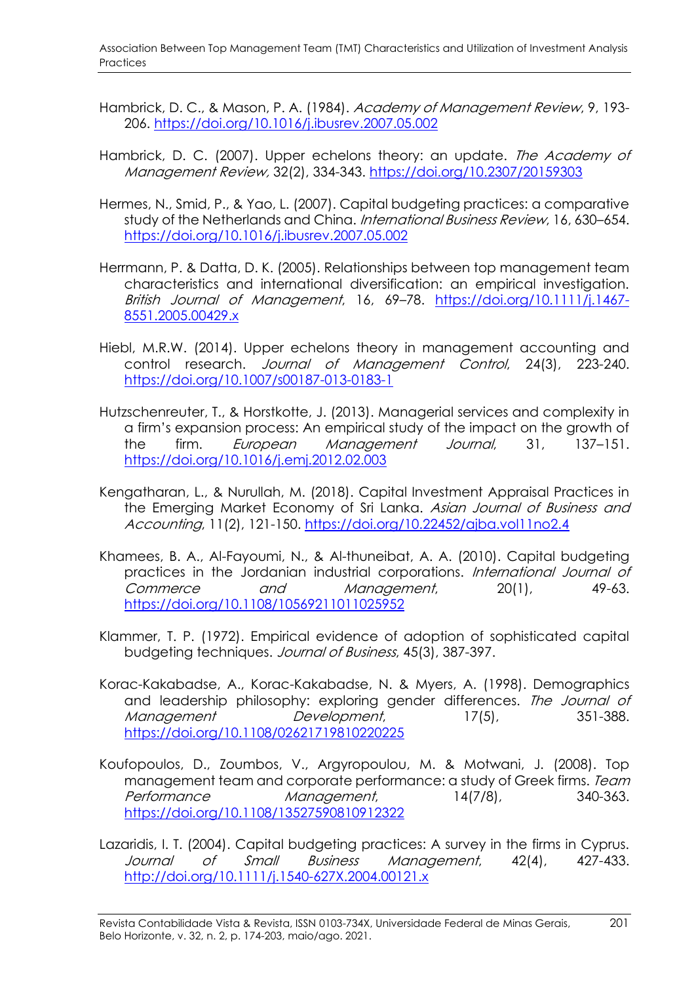- Hambrick, D. C., & Mason, P. A. (1984). Academy of Management Review, 9, 193-206. <https://doi.org/10.1016/j.ibusrev.2007.05.002>
- Hambrick, D. C. (2007). Upper echelons theory: an update. The Academy of Management Review, 32(2), 334-343. <https://doi.org/10.2307/20159303>
- Hermes, N., Smid, P., & Yao, L. (2007). Capital budgeting practices: a comparative study of the Netherlands and China. *International Business Review*, 16, 630–654. <https://doi.org/10.1016/j.ibusrev.2007.05.002>
- Herrmann, P. & Datta, D. K. (2005). Relationships between top management team characteristics and international diversification: an empirical investigation. British Journal of Management, 16, 69-78. [https://doi.org/10.1111/j.1467-](https://doi.org/10.1111/j.1467-8551.2005.00429.x) [8551.2005.00429.x](https://doi.org/10.1111/j.1467-8551.2005.00429.x)
- Hiebl, M.R.W. (2014). Upper echelons theory in management accounting and control research. Journal of Management Control, 24(3), 223-240. <https://doi.org/10.1007/s00187-013-0183-1>
- Hutzschenreuter, T., & Horstkotte, J. (2013). Managerial services and complexity in a firm's expansion process: An empirical study of the impact on the growth of the firm. European Management Journal, 31, 137–151. <https://doi.org/10.1016/j.emj.2012.02.003>
- Kengatharan, L., & Nurullah, M. (2018). Capital Investment Appraisal Practices in the Emerging Market Economy of Sri Lanka. Asian Journal of Business and Accounting, 11(2), 121-150. <https://doi.org/10.22452/ajba.vol11no2.4>
- Khamees, B. A., Al-Fayoumi, N., & Al-thuneibat, A. A. (2010). Capital budgeting practices in the Jordanian industrial corporations. International Journal of Commerce and Management, 20(1), 49-63. https://doi.org[/10.1108/10569211011025952](https://doi.org/10.1108/10569211011025952)
- Klammer, T. P. (1972). Empirical evidence of adoption of sophisticated capital budgeting techniques. Journal of Business, 45(3), 387-397.
- Korac-Kakabadse, A., Korac-Kakabadse, N. & Myers, A. (1998). Demographics and leadership philosophy: exploring gender differences. The Journal of Management Development, 17(5), 351-388. <https://doi.org/10.1108/02621719810220225>
- Koufopoulos, D., Zoumbos, V., Argyropoulou, M. & Motwani, J. (2008). Top management team and corporate performance: a study of Greek firms. Team Performance Management, 14(7/8), 340-363. <https://doi.org/10.1108/13527590810912322>
- Lazaridis, I. T. (2004). Capital budgeting practices: A survey in the firms in Cyprus. Journal of Small Business Management, 42(4), 427-433. http://doi.org[/10.1111/j.1540-627X.2004.00121.x](https://doi.org/10.1111/j.1540-627X.2004.00121.x)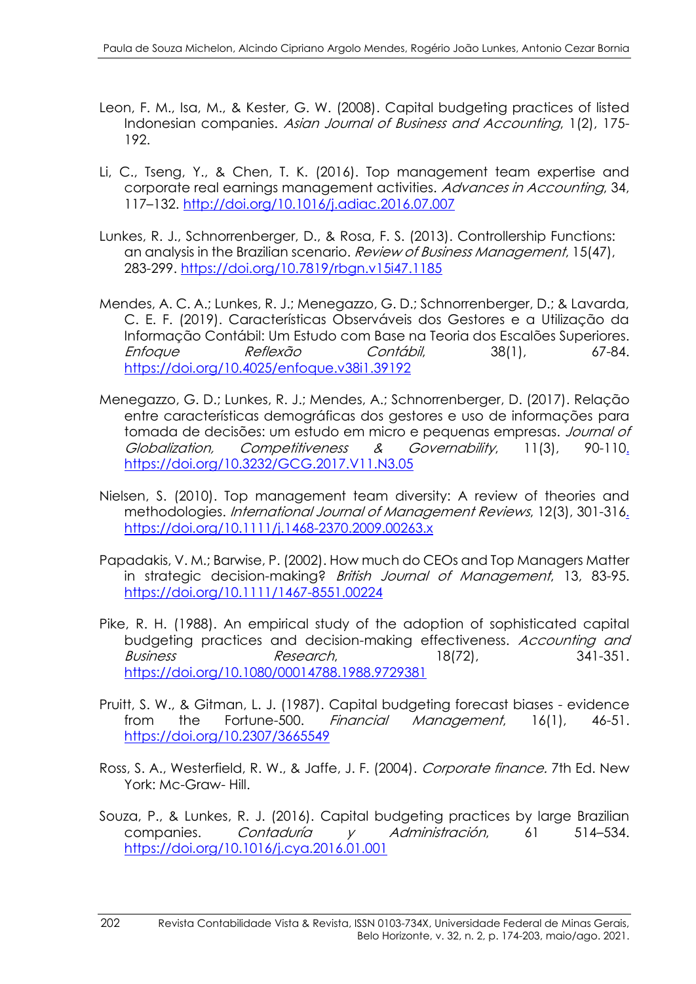- Leon, F. M., Isa, M., & Kester, G. W. (2008). Capital budgeting practices of listed Indonesian companies. Asian Journal of Business and Accounting, 1(2), 175- 192.
- Li, C., Tseng, Y., & Chen, T. K. (2016). Top management team expertise and corporate real earnings management activities. Advances in Accounting, 34, 117–132. <http://doi.org/10.1016/j.adiac.2016.07.007>
- Lunkes, R. J., Schnorrenberger, D., & Rosa, F. S. (2013). Controllership Functions: an analysis in the Brazilian scenario. *Review of Business Management*, 15(47), 283-299. <https://doi.org/10.7819/rbgn.v15i47.1185>
- Mendes, A. C. A.; Lunkes, R. J.; Menegazzo, G. D.; Schnorrenberger, D.; & Lavarda, C. E. F. (2019). Características Observáveis dos Gestores e a Utilização da Informação Contábil: Um Estudo com Base na Teoria dos Escalões Superiores. Enfoque Reflexão Contábil, 38(1), 67-84. https://doi.org/10.4025/enfoque.v38i1.39192
- Menegazzo, G. D.; Lunkes, R. J.; Mendes, A.; Schnorrenberger, D. (2017). Relação entre características demográficas dos gestores e uso de informações para tomada de decisões: um estudo em micro e pequenas empresas. Journal of Globalization, Competitiveness & Governability, 11(3), 90-110. https://doi.org/10.3232/GCG.2017.V11.N3.05
- Nielsen, S. (2010). Top management team diversity: A review of theories and methodologies. International Journal of Management Reviews, 12(3), 301-316. https://doi.org[/10.1111/j.1468-2370.2009.00263.x](http://dx.doi.org/10.1111/j.1468-2370.2009.00263.x)
- Papadakis, V. M.; Barwise, P. (2002). How much do CEOs and Top Managers Matter in strategic decision-making? British Journal of Management, 13, 83-95. <https://doi.org/10.1111/1467-8551.00224>
- Pike, R. H. (1988). An empirical study of the adoption of sophisticated capital budgeting practices and decision-making effectiveness. Accounting and Business Research, 18(72), 341-351. https://doi.org[/10.1080/00014788.1988.9729381](https://doi.org/10.1080/00014788.1988.9729381)
- Pruitt, S. W., & Gitman, L. J. (1987). Capital budgeting forecast biases evidence from the Fortune-500. *Financial Management*, 16(1), 46-51. <https://doi.org/10.2307/3665549>
- Ross, S. A., Westerfield, R. W., & Jaffe, J. F. (2004). Corporate finance. 7th Ed. New York: Mc-Graw- Hill.
- Souza, P., & Lunkes, R. J. (2016). Capital budgeting practices by large Brazilian companies. Contaduría y Administración, 61 514–534. <https://doi.org/10.1016/j.cya.2016.01.001>